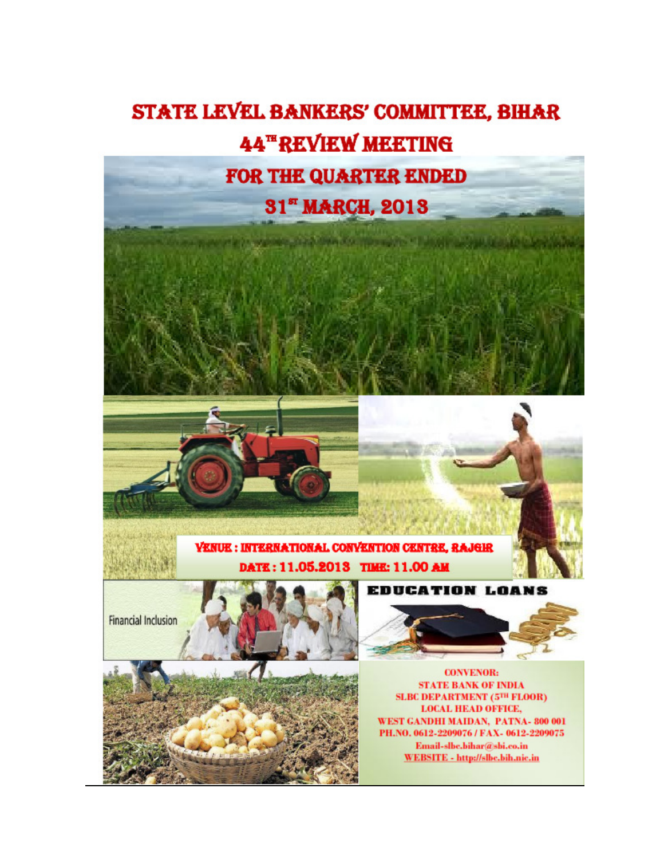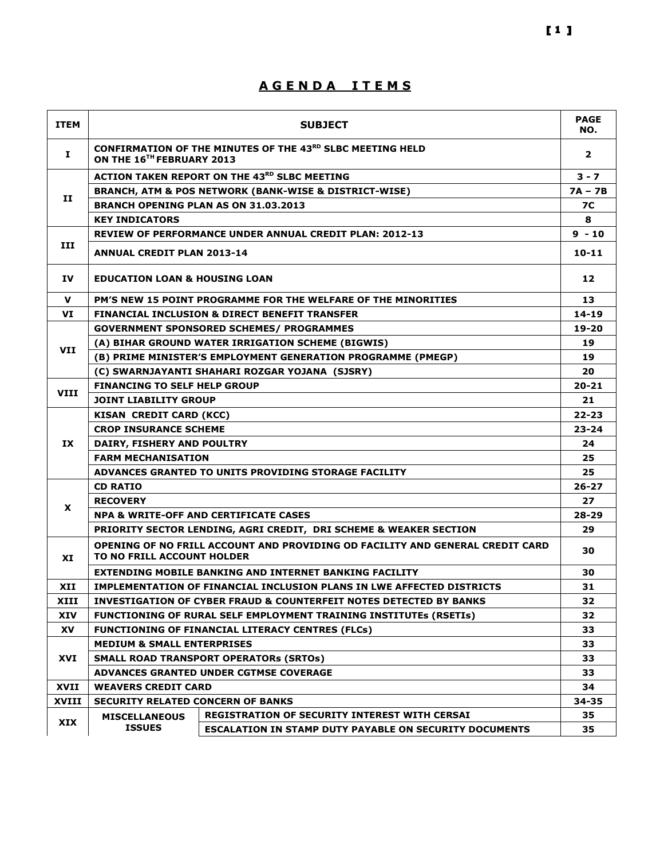## A G E N D A I T E M S

| <b>ITEM</b>  |                                                                                                             | <b>SUBJECT</b>                                                                | <b>PAGE</b><br>NO. |  |  |  |  |  |
|--------------|-------------------------------------------------------------------------------------------------------------|-------------------------------------------------------------------------------|--------------------|--|--|--|--|--|
| Ι.           | ON THE 16 <sup>TH</sup> FEBRUARY 2013                                                                       | CONFIRMATION OF THE MINUTES OF THE 43RD SLBC MEETING HELD                     | $\overline{2}$     |  |  |  |  |  |
|              |                                                                                                             | <b>ACTION TAKEN REPORT ON THE 43RD SLBC MEETING</b>                           | $3 - 7$            |  |  |  |  |  |
|              |                                                                                                             | <b>BRANCH, ATM &amp; POS NETWORK (BANK-WISE &amp; DISTRICT-WISE)</b>          | $7A - 7B$          |  |  |  |  |  |
| 11           | BRANCH OPENING PLAN AS ON 31.03.2013<br><b>KEY INDICATORS</b>                                               |                                                                               |                    |  |  |  |  |  |
|              | <b>REVIEW OF PERFORMANCE UNDER ANNUAL CREDIT PLAN: 2012-13</b>                                              |                                                                               |                    |  |  |  |  |  |
|              |                                                                                                             |                                                                               | $9 - 10$           |  |  |  |  |  |
| III          | <b>ANNUAL CREDIT PLAN 2013-14</b>                                                                           |                                                                               |                    |  |  |  |  |  |
| IV           |                                                                                                             | <b>EDUCATION LOAN &amp; HOUSING LOAN</b>                                      |                    |  |  |  |  |  |
| v            |                                                                                                             | PM'S NEW 15 POINT PROGRAMME FOR THE WELFARE OF THE MINORITIES                 | 13                 |  |  |  |  |  |
| VI           |                                                                                                             | <b>FINANCIAL INCLUSION &amp; DIRECT BENEFIT TRANSFER</b>                      | $14 - 19$          |  |  |  |  |  |
|              |                                                                                                             | <b>GOVERNMENT SPONSORED SCHEMES/ PROGRAMMES</b>                               | 19-20              |  |  |  |  |  |
|              |                                                                                                             | (A) BIHAR GROUND WATER IRRIGATION SCHEME (BIGWIS)                             | 19                 |  |  |  |  |  |
| <b>VII</b>   |                                                                                                             | (B) PRIME MINISTER'S EMPLOYMENT GENERATION PROGRAMME (PMEGP)                  | 19                 |  |  |  |  |  |
|              | (C) SWARNJAYANTI SHAHARI ROZGAR YOJANA (SJSRY)                                                              |                                                                               |                    |  |  |  |  |  |
|              | <b>FINANCING TO SELF HELP GROUP</b>                                                                         |                                                                               |                    |  |  |  |  |  |
| <b>VIII</b>  | <b>JOINT LIABILITY GROUP</b>                                                                                |                                                                               |                    |  |  |  |  |  |
|              | <b>KISAN CREDIT CARD (KCC)</b>                                                                              |                                                                               |                    |  |  |  |  |  |
|              | <b>CROP INSURANCE SCHEME</b>                                                                                |                                                                               |                    |  |  |  |  |  |
| <b>IX</b>    | DAIRY, FISHERY AND POULTRY                                                                                  |                                                                               |                    |  |  |  |  |  |
|              | <b>FARM MECHANISATION</b>                                                                                   |                                                                               |                    |  |  |  |  |  |
|              |                                                                                                             | ADVANCES GRANTED TO UNITS PROVIDING STORAGE FACILITY                          | 25                 |  |  |  |  |  |
|              | <b>CD RATIO</b>                                                                                             |                                                                               | $26 - 27$          |  |  |  |  |  |
|              | <b>RECOVERY</b>                                                                                             |                                                                               | 27                 |  |  |  |  |  |
| X            | NPA & WRITE-OFF AND CERTIFICATE CASES                                                                       |                                                                               |                    |  |  |  |  |  |
|              |                                                                                                             | PRIORITY SECTOR LENDING, AGRI CREDIT, DRI SCHEME & WEAKER SECTION             | 29                 |  |  |  |  |  |
| XI           | OPENING OF NO FRILL ACCOUNT AND PROVIDING OD FACILITY AND GENERAL CREDIT CARD<br>TO NO FRILL ACCOUNT HOLDER |                                                                               |                    |  |  |  |  |  |
|              |                                                                                                             | <b>EXTENDING MOBILE BANKING AND INTERNET BANKING FACILITY</b>                 | 30                 |  |  |  |  |  |
| XII          |                                                                                                             | IMPLEMENTATION OF FINANCIAL INCLUSION PLANS IN LWE AFFECTED DISTRICTS         | 31                 |  |  |  |  |  |
| XIII         |                                                                                                             | <b>INVESTIGATION OF CYBER FRAUD &amp; COUNTERFEIT NOTES DETECTED BY BANKS</b> | 32                 |  |  |  |  |  |
| XIV          |                                                                                                             | <b>FUNCTIONING OF RURAL SELF EMPLOYMENT TRAINING INSTITUTES (RSETIS)</b>      | 32                 |  |  |  |  |  |
| XV           | <b>FUNCTIONING OF FINANCIAL LITERACY CENTRES (FLCs)</b>                                                     |                                                                               |                    |  |  |  |  |  |
|              | <b>MEDIUM &amp; SMALL ENTERPRISES</b>                                                                       |                                                                               | 33                 |  |  |  |  |  |
| XVI          |                                                                                                             | <b>SMALL ROAD TRANSPORT OPERATORS (SRTOS)</b>                                 | 33                 |  |  |  |  |  |
|              | ADVANCES GRANTED UNDER CGTMSE COVERAGE                                                                      |                                                                               |                    |  |  |  |  |  |
| XVII         | <b>WEAVERS CREDIT CARD</b>                                                                                  |                                                                               | 34                 |  |  |  |  |  |
| <b>XVIII</b> | <b>SECURITY RELATED CONCERN OF BANKS</b>                                                                    |                                                                               | $34 - 35$          |  |  |  |  |  |
|              | <b>MISCELLANEOUS</b>                                                                                        | <b>REGISTRATION OF SECURITY INTEREST WITH CERSAI</b>                          | 35.                |  |  |  |  |  |
| XIX          | <b>ISSUES</b>                                                                                               | <b>ESCALATION IN STAMP DUTY PAYABLE ON SECURITY DOCUMENTS</b>                 | 35                 |  |  |  |  |  |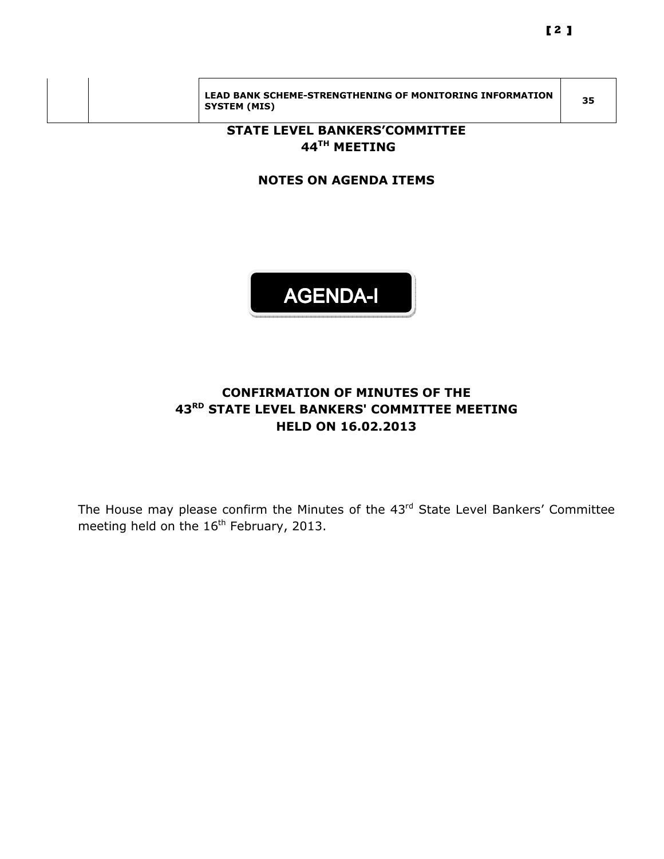|  | LEAD BANK SCHEME-STRENGTHENING OF MONITORING INFORMATION<br>SYSTEM (MIS) | 35 |
|--|--------------------------------------------------------------------------|----|

## STATE LEVEL BANKERS'COMMITTEE 44<sup>TH</sup> MEETING

## NOTES ON AGENDA ITEMS



## CONFIRMATION OF MINUTES OF THE 43<sup>RD</sup> STATE LEVEL BANKERS' COMMITTEE MEETING HELD ON 16.02.2013

The House may please confirm the Minutes of the 43<sup>rd</sup> State Level Bankers' Committee meeting held on the 16<sup>th</sup> February, 2013.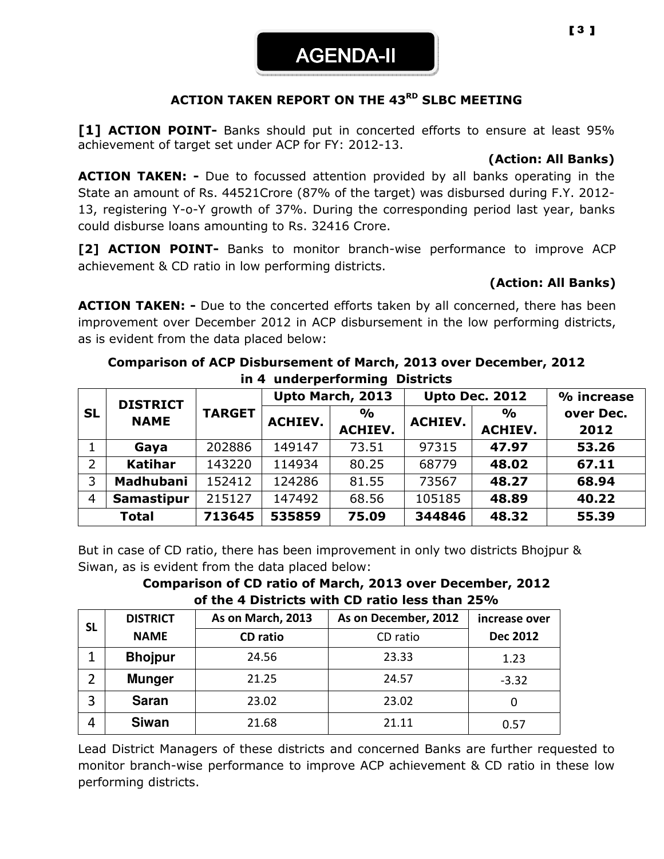AGENDA-II

### ACTION TAKEN REPORT ON THE 43<sup>RD</sup> SLBC MEETING

[1] ACTION POINT- Banks should put in concerted efforts to ensure at least 95% achievement of target set under ACP for FY: 2012-13.

### (Action: All Banks)

**ACTION TAKEN:** - Due to focussed attention provided by all banks operating in the State an amount of Rs. 44521Crore (87% of the target) was disbursed during F.Y. 2012- 13, registering Y-o-Y growth of 37%. During the corresponding period last year, banks could disburse loans amounting to Rs. 32416 Crore.

[2] **ACTION POINT-** Banks to monitor branch-wise performance to improve ACP achievement & CD ratio in low performing districts.

#### (Action: All Banks)

**ACTION TAKEN: -** Due to the concerted efforts taken by all concerned, there has been improvement over December 2012 in ACP disbursement in the low performing districts, as is evident from the data placed below:

#### Comparison of ACP Disbursement of March, 2013 over December, 2012 in 4 underperforming Districts

|                | <b>DISTRICT</b>   |               | Upto March, 2013 |                | <b>Upto Dec. 2012</b> |               | % increase |                |      |
|----------------|-------------------|---------------|------------------|----------------|-----------------------|---------------|------------|----------------|------|
| <b>SL</b>      | <b>NAME</b>       | <b>TARGET</b> | <b>ACHIEV.</b>   | $\frac{0}{0}$  | <b>ACHIEV.</b>        | $\frac{1}{2}$ | over Dec.  |                |      |
|                |                   |               |                  | <b>ACHIEV.</b> |                       |               |            | <b>ACHIEV.</b> | 2012 |
|                | Gaya              | 202886        | 149147           | 73.51          | 97315                 | 47.97         | 53.26      |                |      |
| $\overline{2}$ | <b>Katihar</b>    | 143220        | 114934           | 80.25          | 68779                 | 48.02         | 67.11      |                |      |
| 3              | <b>Madhubani</b>  | 152412        | 124286           | 81.55          | 73567                 | 48.27         | 68.94      |                |      |
| $\overline{4}$ | <b>Samastipur</b> | 215127        | 147492           | 68.56          | 105185                | 48.89         | 40.22      |                |      |
|                | <b>Total</b>      | 713645        | 535859           | 75.09          | 344846                | 48.32         | 55.39      |                |      |

But in case of CD ratio, there has been improvement in only two districts Bhojpur & Siwan, as is evident from the data placed below:

Comparison of CD ratio of March, 2013 over December, 2012 of the 4 Districts with CD ratio less than 25%

| <b>SL</b> | <b>DISTRICT</b> | As on March, 2013 | As on December, 2012 | increase over   |
|-----------|-----------------|-------------------|----------------------|-----------------|
|           | <b>NAME</b>     | <b>CD</b> ratio   | CD ratio             | <b>Dec 2012</b> |
|           | <b>Bhojpur</b>  | 24.56             | 23.33                | 1.23            |
|           | <b>Munger</b>   | 21.25             | 24.57                | $-3.32$         |
| 3         | <b>Saran</b>    | 23.02             | 23.02                |                 |
| 4         | <b>Siwan</b>    | 21.68             | 21.11                | 0.57            |

Lead District Managers of these districts and concerned Banks are further requested to monitor branch-wise performance to improve ACP achievement & CD ratio in these low performing districts.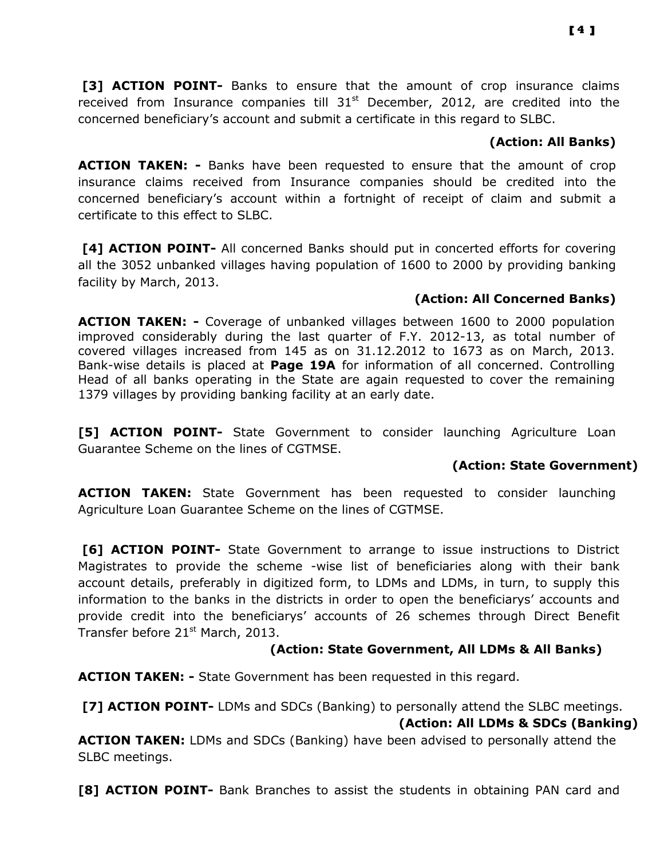[3] **ACTION POINT-** Banks to ensure that the amount of crop insurance claims received from Insurance companies till  $31<sup>st</sup>$  December, 2012, are credited into the concerned beneficiary's account and submit a certificate in this regard to SLBC.

### (Action: All Banks)

ACTION TAKEN: - Banks have been requested to ensure that the amount of crop insurance claims received from Insurance companies should be credited into the concerned beneficiary's account within a fortnight of receipt of claim and submit a certificate to this effect to SLBC.

 [4] ACTION POINT- All concerned Banks should put in concerted efforts for covering all the 3052 unbanked villages having population of 1600 to 2000 by providing banking facility by March, 2013.

## (Action: All Concerned Banks)

ACTION TAKEN: - Coverage of unbanked villages between 1600 to 2000 population improved considerably during the last quarter of F.Y. 2012-13, as total number of covered villages increased from 145 as on 31.12.2012 to 1673 as on March, 2013. Bank-wise details is placed at Page 19A for information of all concerned. Controlling Head of all banks operating in the State are again requested to cover the remaining 1379 villages by providing banking facility at an early date.

[5] **ACTION POINT-** State Government to consider launching Agriculture Loan Guarantee Scheme on the lines of CGTMSE.

## (Action: State Government)

ACTION TAKEN: State Government has been requested to consider launching Agriculture Loan Guarantee Scheme on the lines of CGTMSE.

**[6] ACTION POINT-** State Government to arrange to issue instructions to District Magistrates to provide the scheme -wise list of beneficiaries along with their bank account details, preferably in digitized form, to LDMs and LDMs, in turn, to supply this information to the banks in the districts in order to open the beneficiarys' accounts and provide credit into the beneficiarys' accounts of 26 schemes through Direct Benefit Transfer before  $21<sup>st</sup>$  March, 2013.

## (Action: State Government, All LDMs & All Banks)

**ACTION TAKEN: -** State Government has been requested in this regard.

[7] ACTION POINT- LDMs and SDCs (Banking) to personally attend the SLBC meetings. (Action: All LDMs & SDCs (Banking)

ACTION TAKEN: LDMs and SDCs (Banking) have been advised to personally attend the SLBC meetings.

[8] ACTION POINT- Bank Branches to assist the students in obtaining PAN card and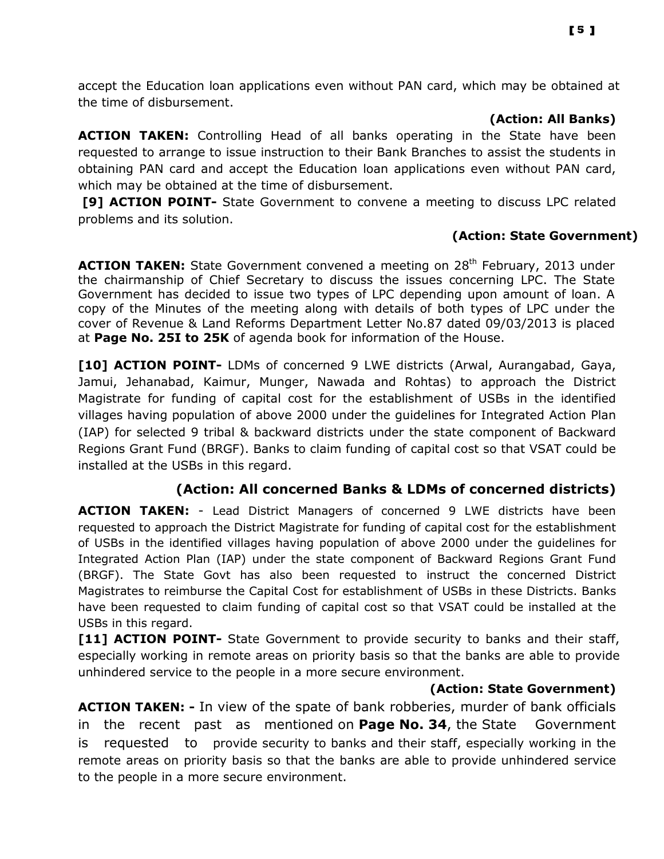accept the Education loan applications even without PAN card, which may be obtained at the time of disbursement.

#### (Action: All Banks)

ACTION TAKEN: Controlling Head of all banks operating in the State have been requested to arrange to issue instruction to their Bank Branches to assist the students in obtaining PAN card and accept the Education loan applications even without PAN card, which may be obtained at the time of disbursement.

[9] ACTION POINT- State Government to convene a meeting to discuss LPC related problems and its solution.

## (Action: State Government)

ACTION TAKEN: State Government convened a meeting on 28<sup>th</sup> February, 2013 under the chairmanship of Chief Secretary to discuss the issues concerning LPC. The State Government has decided to issue two types of LPC depending upon amount of loan. A copy of the Minutes of the meeting along with details of both types of LPC under the cover of Revenue & Land Reforms Department Letter No.87 dated 09/03/2013 is placed at Page No. 25I to 25K of agenda book for information of the House.

[10] **ACTION POINT-** LDMs of concerned 9 LWE districts (Arwal, Aurangabad, Gaya, Jamui, Jehanabad, Kaimur, Munger, Nawada and Rohtas) to approach the District Magistrate for funding of capital cost for the establishment of USBs in the identified villages having population of above 2000 under the guidelines for Integrated Action Plan (IAP) for selected 9 tribal & backward districts under the state component of Backward Regions Grant Fund (BRGF). Banks to claim funding of capital cost so that VSAT could be installed at the USBs in this regard.

## (Action: All concerned Banks & LDMs of concerned districts)

**ACTION TAKEN:** - Lead District Managers of concerned 9 LWE districts have been requested to approach the District Magistrate for funding of capital cost for the establishment of USBs in the identified villages having population of above 2000 under the guidelines for Integrated Action Plan (IAP) under the state component of Backward Regions Grant Fund (BRGF). The State Govt has also been requested to instruct the concerned District Magistrates to reimburse the Capital Cost for establishment of USBs in these Districts. Banks have been requested to claim funding of capital cost so that VSAT could be installed at the USBs in this regard.

[11] ACTION POINT- State Government to provide security to banks and their staff, especially working in remote areas on priority basis so that the banks are able to provide unhindered service to the people in a more secure environment.

#### (Action: State Government)

ACTION TAKEN: - In view of the spate of bank robberies, murder of bank officials in the recent past as mentioned on **Page No. 34**, the State Government is requested to provide security to banks and their staff, especially working in the remote areas on priority basis so that the banks are able to provide unhindered service to the people in a more secure environment.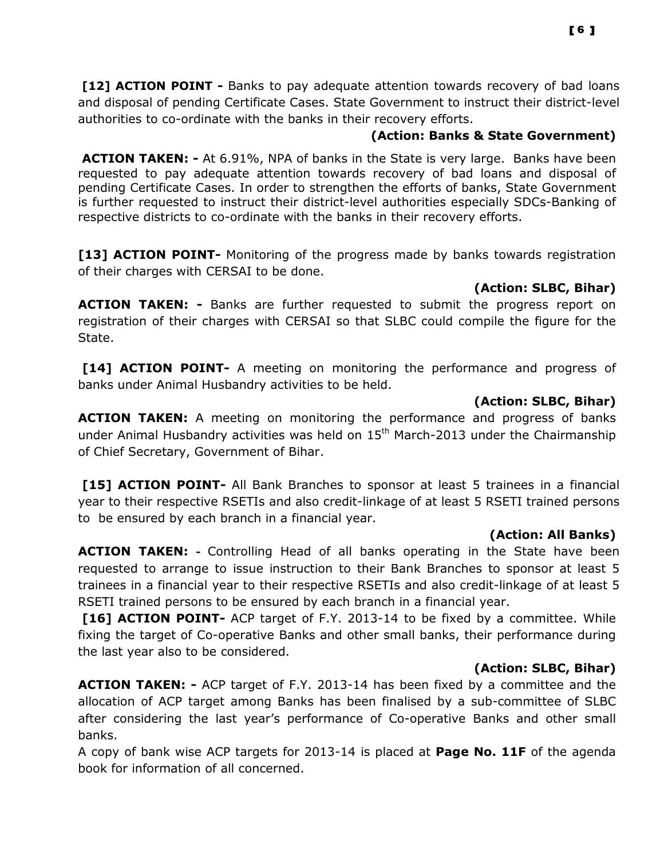[12] **ACTION POINT** - Banks to pay adequate attention towards recovery of bad loans and disposal of pending Certificate Cases. State Government to instruct their district-level authorities to co-ordinate with the banks in their recovery efforts.

## (Action: Banks & State Government)

ACTION TAKEN: - At 6.91%, NPA of banks in the State is very large. Banks have been requested to pay adequate attention towards recovery of bad loans and disposal of pending Certificate Cases. In order to strengthen the efforts of banks, State Government is further requested to instruct their district-level authorities especially SDCs-Banking of respective districts to co-ordinate with the banks in their recovery efforts.

[13] ACTION POINT- Monitoring of the progress made by banks towards registration of their charges with CERSAI to be done.

## (Action: SLBC, Bihar)

**ACTION TAKEN: -** Banks are further requested to submit the progress report on registration of their charges with CERSAI so that SLBC could compile the figure for the State.

[14] ACTION POINT- A meeting on monitoring the performance and progress of banks under Animal Husbandry activities to be held.

## (Action: SLBC, Bihar)

ACTION TAKEN: A meeting on monitoring the performance and progress of banks under Animal Husbandry activities was held on 15<sup>th</sup> March-2013 under the Chairmanship of Chief Secretary, Government of Bihar.

[15] ACTION POINT- All Bank Branches to sponsor at least 5 trainees in a financial year to their respective RSETIs and also credit-linkage of at least 5 RSETI trained persons to be ensured by each branch in a financial year.

## (Action: All Banks)

ACTION TAKEN: - Controlling Head of all banks operating in the State have been requested to arrange to issue instruction to their Bank Branches to sponsor at least 5 trainees in a financial year to their respective RSETIs and also credit-linkage of at least 5 RSETI trained persons to be ensured by each branch in a financial year.

[16] ACTION POINT- ACP target of F.Y. 2013-14 to be fixed by a committee. While fixing the target of Co-operative Banks and other small banks, their performance during the last year also to be considered.

## (Action: SLBC, Bihar)

**ACTION TAKEN:** - ACP target of F.Y. 2013-14 has been fixed by a committee and the allocation of ACP target among Banks has been finalised by a sub-committee of SLBC after considering the last year's performance of Co-operative Banks and other small banks.

A copy of bank wise ACP targets for 2013-14 is placed at Page No. 11F of the agenda book for information of all concerned.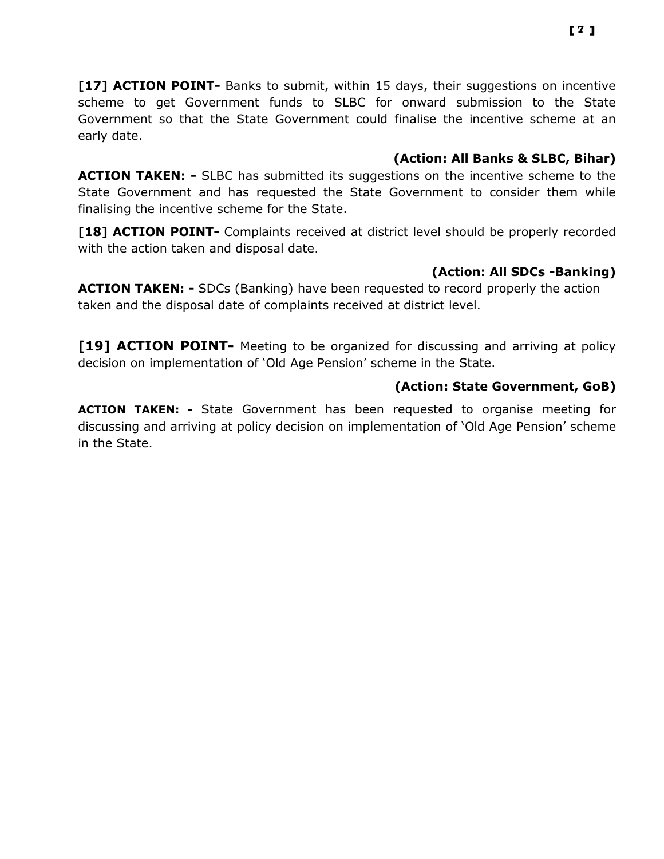[17] ACTION POINT- Banks to submit, within 15 days, their suggestions on incentive scheme to get Government funds to SLBC for onward submission to the State Government so that the State Government could finalise the incentive scheme at an early date.

## (Action: All Banks & SLBC, Bihar)

**ACTION TAKEN: -** SLBC has submitted its suggestions on the incentive scheme to the State Government and has requested the State Government to consider them while finalising the incentive scheme for the State.

[18] ACTION POINT- Complaints received at district level should be properly recorded with the action taken and disposal date.

## (Action: All SDCs -Banking)

ACTION TAKEN: - SDCs (Banking) have been requested to record properly the action taken and the disposal date of complaints received at district level.

[19] ACTION POINT- Meeting to be organized for discussing and arriving at policy decision on implementation of 'Old Age Pension' scheme in the State.

## (Action: State Government, GoB)

ACTION TAKEN: - State Government has been requested to organise meeting for discussing and arriving at policy decision on implementation of 'Old Age Pension' scheme in the State.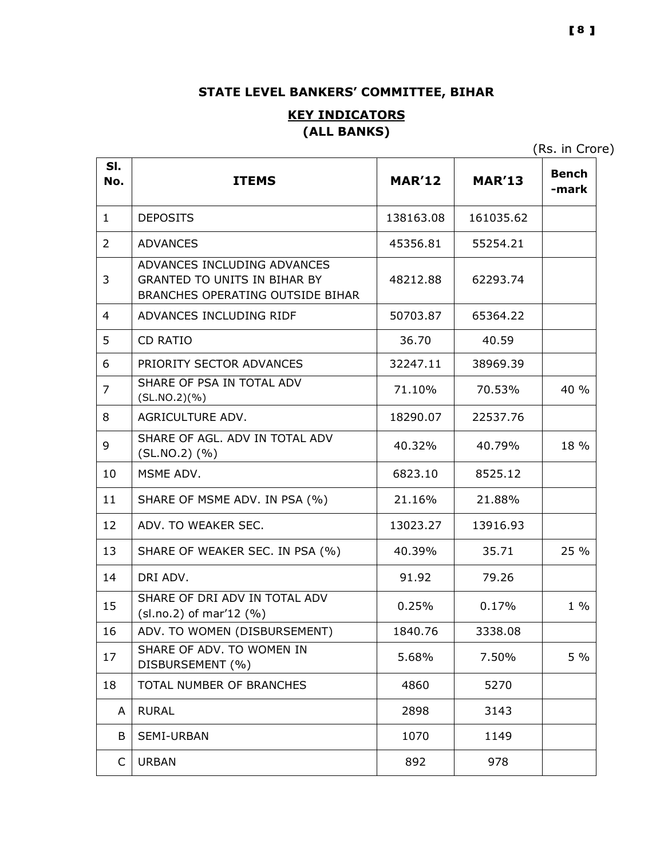## STATE LEVEL BANKERS' COMMITTEE, BIHAR

## **KEY INDICATORS** (ALL BANKS)

(Rs. in Crore)

| SI.<br>No.     | <b>ITEMS</b>                                                                                           | <b>MAR'12</b> | <b>MAR'13</b> | <b>Bench</b><br>-mark |
|----------------|--------------------------------------------------------------------------------------------------------|---------------|---------------|-----------------------|
| $\mathbf{1}$   | <b>DEPOSITS</b>                                                                                        | 138163.08     | 161035.62     |                       |
| $\overline{2}$ | <b>ADVANCES</b>                                                                                        | 45356.81      | 55254.21      |                       |
| 3              | ADVANCES INCLUDING ADVANCES<br><b>GRANTED TO UNITS IN BIHAR BY</b><br>BRANCHES OPERATING OUTSIDE BIHAR | 48212.88      | 62293.74      |                       |
| 4              | ADVANCES INCLUDING RIDF                                                                                | 50703.87      | 65364.22      |                       |
| 5              | <b>CD RATIO</b>                                                                                        | 36.70         | 40.59         |                       |
| 6              | PRIORITY SECTOR ADVANCES                                                                               | 32247.11      | 38969.39      |                       |
| $\overline{7}$ | SHARE OF PSA IN TOTAL ADV<br>(SL.NO.2)(%)                                                              | 71.10%        | 70.53%        | 40 %                  |
| 8              | AGRICULTURE ADV.                                                                                       | 18290.07      | 22537.76      |                       |
| 9              | SHARE OF AGL. ADV IN TOTAL ADV<br>$(SL.NO.2)$ $(\% )$                                                  | 40.32%        | 40.79%        | 18 %                  |
| 10             | MSME ADV.                                                                                              | 6823.10       | 8525.12       |                       |
| 11             | SHARE OF MSME ADV. IN PSA (%)                                                                          | 21.16%        | 21.88%        |                       |
| 12             | ADV. TO WEAKER SEC.                                                                                    | 13023.27      | 13916.93      |                       |
| 13             | SHARE OF WEAKER SEC. IN PSA (%)                                                                        | 40.39%        | 35.71         | 25 %                  |
| 14             | DRI ADV.                                                                                               | 91.92         | 79.26         |                       |
| 15             | SHARE OF DRI ADV IN TOTAL ADV<br>$(sl.no.2)$ of mar'12 $(\%)$                                          | 0.25%         | 0.17%         | $1\%$                 |
| 16             | ADV. TO WOMEN (DISBURSEMENT)                                                                           | 1840.76       | 3338.08       |                       |
| 17             | SHARE OF ADV. TO WOMEN IN<br>DISBURSEMENT (%)                                                          | 5.68%         | 7.50%         | 5 %                   |
| 18             | TOTAL NUMBER OF BRANCHES                                                                               | 4860          | 5270          |                       |
| A              | <b>RURAL</b>                                                                                           | 2898          | 3143          |                       |
| B              | SEMI-URBAN                                                                                             | 1070          | 1149          |                       |
| C              | <b>URBAN</b>                                                                                           | 892           | 978           |                       |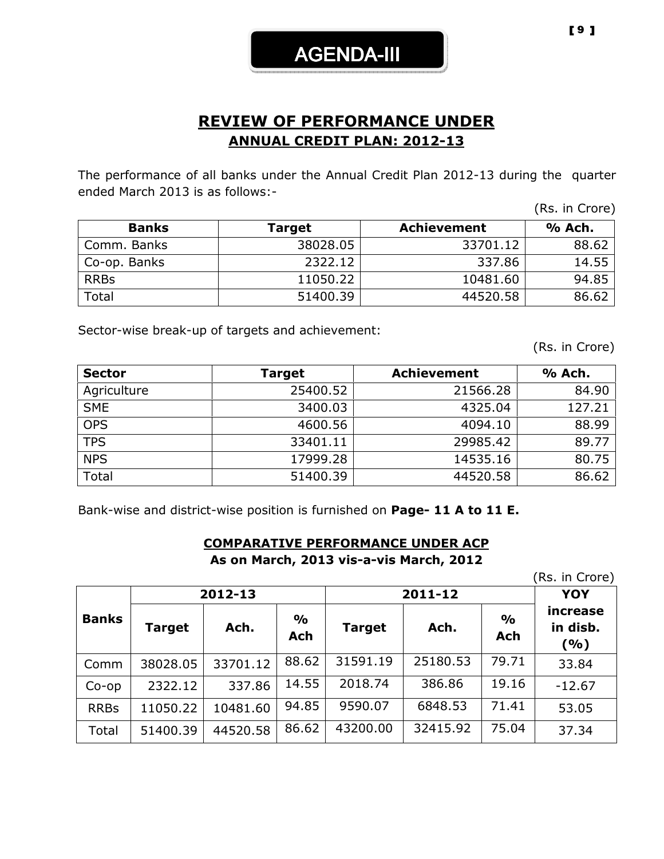## REVIEW OF PERFORMANCE UNDER ANNUAL CREDIT PLAN: 2012-13

The performance of all banks under the Annual Credit Plan 2012-13 during the quarter ended March 2013 is as follows:-

| <b>Banks</b> | Target   | <b>Achievement</b> | % Ach. |
|--------------|----------|--------------------|--------|
| Comm. Banks  | 38028.05 | 33701.12           | 88.62  |
| Co-op. Banks | 2322.12  | 337.86             | 14.55  |
| <b>RRBs</b>  | 11050.22 | 10481.60           | 94.85  |
| Total        | 51400.39 | 44520.58           | 86.62  |

Sector-wise break-up of targets and achievement:

(Rs. in Crore)

(Rs. in Crore)

| <b>Sector</b> | Target   | <b>Achievement</b> | % Ach. |
|---------------|----------|--------------------|--------|
| Agriculture   | 25400.52 | 21566.28           | 84.90  |
| <b>SME</b>    | 3400.03  | 4325.04            | 127.21 |
| <b>OPS</b>    | 4600.56  | 4094.10            | 88.99  |
| <b>TPS</b>    | 33401.11 | 29985.42           | 89.77  |
| <b>NPS</b>    | 17999.28 | 14535.16           | 80.75  |
| Total         | 51400.39 | 44520.58           | 86.62  |

Bank-wise and district-wise position is furnished on Page- 11 A to 11 E.

#### COMPARATIVE PERFORMANCE UNDER ACP As on March, 2013 vis-a-vis March, 2012

(Rs. in Crore)

|              |          | 2012-13  |                             | 2011-12       |          |                      | <b>YOY</b>                    |
|--------------|----------|----------|-----------------------------|---------------|----------|----------------------|-------------------------------|
| <b>Banks</b> | Target   | Ach.     | $\frac{0}{0}$<br><b>Ach</b> | <b>Target</b> | Ach.     | $\frac{0}{0}$<br>Ach | increase<br>in disb.<br>(9/0) |
| Comm         | 38028.05 | 33701.12 | 88.62                       | 31591.19      | 25180.53 | 79.71                | 33.84                         |
| $Co$ -op     | 2322.12  | 337.86   | 14.55                       | 2018.74       | 386.86   | 19.16                | $-12.67$                      |
| <b>RRBs</b>  | 11050.22 | 10481.60 | 94.85                       | 9590.07       | 6848.53  | 71.41                | 53.05                         |
| Total        | 51400.39 | 44520.58 | 86.62                       | 43200.00      | 32415.92 | 75.04                | 37.34                         |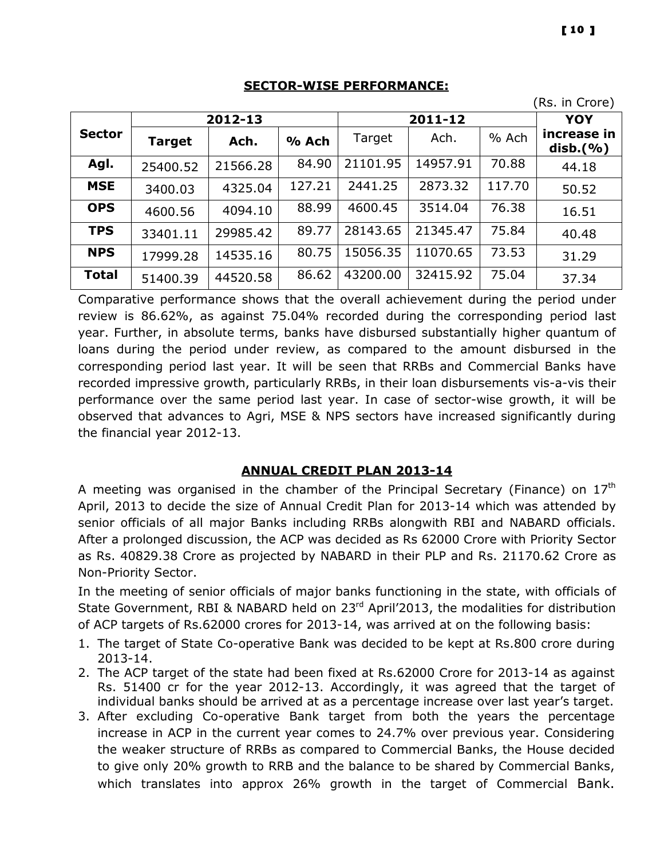|  | ı<br>Π<br>п |
|--|-------------|
|  |             |

 $\mathbf 1$ 

#### SECTOR-WISE PERFORMANCE:

|               |               |          |         |          |          |        | (Rs. in Crore)               |
|---------------|---------------|----------|---------|----------|----------|--------|------------------------------|
|               |               | 2012-13  |         |          | 2011-12  |        | <b>YOY</b>                   |
| <b>Sector</b> | <b>Target</b> | Ach.     | $%$ Ach | Target   | Ach.     | % Ach  | increase in<br>$disb.$ $(%)$ |
| Agl.          | 25400.52      | 21566.28 | 84.90   | 21101.95 | 14957.91 | 70.88  | 44.18                        |
| <b>MSE</b>    | 3400.03       | 4325.04  | 127.21  | 2441.25  | 2873.32  | 117.70 | 50.52                        |
| <b>OPS</b>    | 4600.56       | 4094.10  | 88.99   | 4600.45  | 3514.04  | 76.38  | 16.51                        |
| <b>TPS</b>    | 33401.11      | 29985.42 | 89.77   | 28143.65 | 21345.47 | 75.84  | 40.48                        |
| <b>NPS</b>    | 17999.28      | 14535.16 | 80.75   | 15056.35 | 11070.65 | 73.53  | 31.29                        |
| <b>Total</b>  | 51400.39      | 44520.58 | 86.62   | 43200.00 | 32415.92 | 75.04  | 37.34                        |

Comparative performance shows that the overall achievement during the period under review is 86.62%, as against 75.04% recorded during the corresponding period last year. Further, in absolute terms, banks have disbursed substantially higher quantum of loans during the period under review, as compared to the amount disbursed in the corresponding period last year. It will be seen that RRBs and Commercial Banks have recorded impressive growth, particularly RRBs, in their loan disbursements vis-a-vis their performance over the same period last year. In case of sector-wise growth, it will be observed that advances to Agri, MSE & NPS sectors have increased significantly during the financial year 2012-13.

## ANNUAL CREDIT PLAN 2013-14

A meeting was organised in the chamber of the Principal Secretary (Finance) on  $17<sup>th</sup>$ April, 2013 to decide the size of Annual Credit Plan for 2013-14 which was attended by senior officials of all major Banks including RRBs alongwith RBI and NABARD officials. After a prolonged discussion, the ACP was decided as Rs 62000 Crore with Priority Sector as Rs. 40829.38 Crore as projected by NABARD in their PLP and Rs. 21170.62 Crore as Non-Priority Sector.

In the meeting of senior officials of major banks functioning in the state, with officials of State Government, RBI & NABARD held on 23<sup>rd</sup> April'2013, the modalities for distribution of ACP targets of Rs.62000 crores for 2013-14, was arrived at on the following basis:

- 1. The target of State Co-operative Bank was decided to be kept at Rs.800 crore during 2013-14.
- 2. The ACP target of the state had been fixed at Rs.62000 Crore for 2013-14 as against Rs. 51400 cr for the year 2012-13. Accordingly, it was agreed that the target of individual banks should be arrived at as a percentage increase over last year's target.
- 3. After excluding Co-operative Bank target from both the years the percentage increase in ACP in the current year comes to 24.7% over previous year. Considering the weaker structure of RRBs as compared to Commercial Banks, the House decided to give only 20% growth to RRB and the balance to be shared by Commercial Banks, which translates into approx 26% growth in the target of Commercial Bank.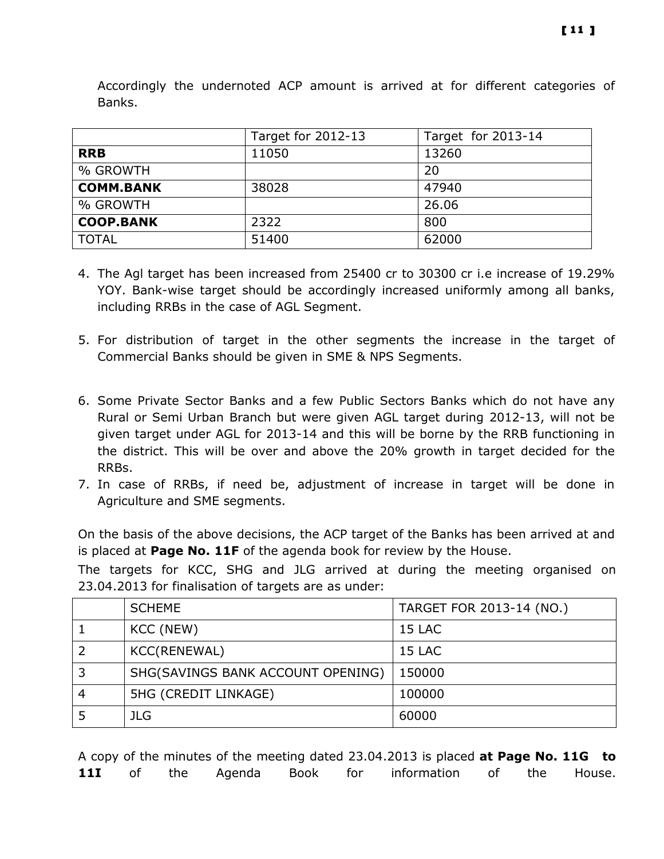|                  | Target for 2012-13 | Target for 2013-14 |
|------------------|--------------------|--------------------|
| <b>RRB</b>       | 11050              | 13260              |
| % GROWTH         |                    | 20                 |
| <b>COMM.BANK</b> | 38028              | 47940              |
| % GROWTH         |                    | 26.06              |
| <b>COOP.BANK</b> | 2322               | 800                |
| <b>TOTAL</b>     | 51400              | 62000              |

Accordingly the undernoted ACP amount is arrived at for different categories of Banks.

- 4. The Agl target has been increased from 25400 cr to 30300 cr i.e increase of 19.29% YOY. Bank-wise target should be accordingly increased uniformly among all banks, including RRBs in the case of AGL Segment.
- 5. For distribution of target in the other segments the increase in the target of Commercial Banks should be given in SME & NPS Segments.
- 6. Some Private Sector Banks and a few Public Sectors Banks which do not have any Rural or Semi Urban Branch but were given AGL target during 2012-13, will not be given target under AGL for 2013-14 and this will be borne by the RRB functioning in the district. This will be over and above the 20% growth in target decided for the RRBs.
- 7. In case of RRBs, if need be, adjustment of increase in target will be done in Agriculture and SME segments.

On the basis of the above decisions, the ACP target of the Banks has been arrived at and is placed at **Page No. 11F** of the agenda book for review by the House.

The targets for KCC, SHG and JLG arrived at during the meeting organised on 23.04.2013 for finalisation of targets are as under:

| <b>SCHEME</b>                     | TARGET FOR 2013-14 (NO.) |
|-----------------------------------|--------------------------|
| KCC (NEW)                         | 15 LAC                   |
| KCC(RENEWAL)                      | 15 LAC                   |
| SHG(SAVINGS BANK ACCOUNT OPENING) | 150000                   |
| 5HG (CREDIT LINKAGE)              | 100000                   |
| JLG.                              | 60000                    |

A copy of the minutes of the meeting dated 23.04.2013 is placed at Page No. 11G to **11I** of the Agenda Book for information of the House.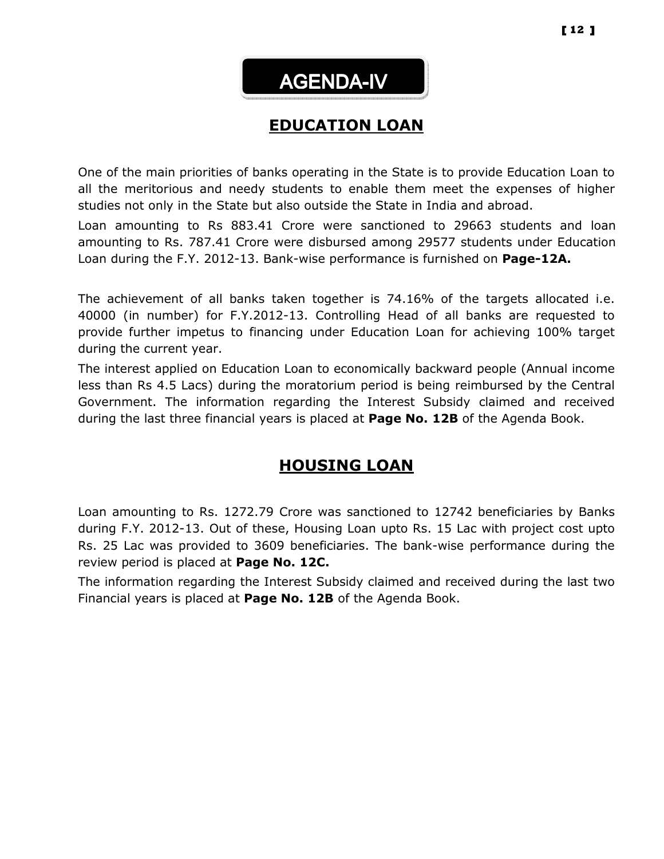# AGENDA-IV

## EDUCATION LOAN

One of the main priorities of banks operating in the State is to provide Education Loan to all the meritorious and needy students to enable them meet the expenses of higher studies not only in the State but also outside the State in India and abroad.

Loan amounting to Rs 883.41 Crore were sanctioned to 29663 students and loan amounting to Rs. 787.41 Crore were disbursed among 29577 students under Education Loan during the F.Y. 2012-13. Bank-wise performance is furnished on **Page-12A.** 

The achievement of all banks taken together is 74.16% of the targets allocated i.e. 40000 (in number) for F.Y.2012-13. Controlling Head of all banks are requested to provide further impetus to financing under Education Loan for achieving 100% target during the current year.

The interest applied on Education Loan to economically backward people (Annual income less than Rs 4.5 Lacs) during the moratorium period is being reimbursed by the Central Government. The information regarding the Interest Subsidy claimed and received during the last three financial years is placed at Page No. 12B of the Agenda Book.

## HOUSING LOAN

Loan amounting to Rs. 1272.79 Crore was sanctioned to 12742 beneficiaries by Banks during F.Y. 2012-13. Out of these, Housing Loan upto Rs. 15 Lac with project cost upto Rs. 25 Lac was provided to 3609 beneficiaries. The bank-wise performance during the review period is placed at Page No. 12C.

The information regarding the Interest Subsidy claimed and received during the last two Financial years is placed at Page No. 12B of the Agenda Book.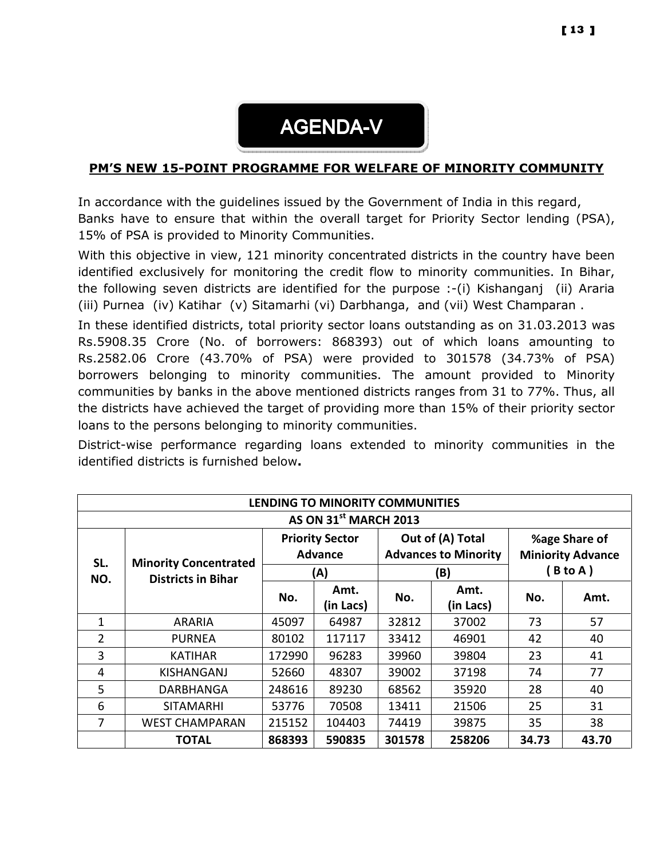

#### PM'S NEW 15-POINT PROGRAMME FOR WELFARE OF MINORITY COMMUNITY

In accordance with the guidelines issued by the Government of India in this regard, Banks have to ensure that within the overall target for Priority Sector lending (PSA), 15% of PSA is provided to Minority Communities.

With this objective in view, 121 minority concentrated districts in the country have been identified exclusively for monitoring the credit flow to minority communities. In Bihar, the following seven districts are identified for the purpose :-(i) Kishanganj (ii) Araria (iii) Purnea (iv) Katihar (v) Sitamarhi (vi) Darbhanga, and (vii) West Champaran .

In these identified districts, total priority sector loans outstanding as on 31.03.2013 was Rs.5908.35 Crore (No. of borrowers: 868393) out of which loans amounting to Rs.2582.06 Crore (43.70% of PSA) were provided to 301578 (34.73% of PSA) borrowers belonging to minority communities. The amount provided to Minority communities by banks in the above mentioned districts ranges from 31 to 77%. Thus, all the districts have achieved the target of providing more than 15% of their priority sector loans to the persons belonging to minority communities.

District-wise performance regarding loans extended to minority communities in the identified districts is furnished below.

| LENDING TO MINORITY COMMUNITIES |                                   |                                          |           |                                                 |           |                                           |       |  |  |
|---------------------------------|-----------------------------------|------------------------------------------|-----------|-------------------------------------------------|-----------|-------------------------------------------|-------|--|--|
|                                 | AS ON 31 <sup>st</sup> MARCH 2013 |                                          |           |                                                 |           |                                           |       |  |  |
| SL.                             | <b>Minority Concentrated</b>      | <b>Priority Sector</b><br><b>Advance</b> |           | Out of (A) Total<br><b>Advances to Minority</b> |           | %age Share of<br><b>Miniority Advance</b> |       |  |  |
| NO.                             | <b>Districts in Bihar</b>         |                                          | (A)       |                                                 | (B)       | B to A)                                   |       |  |  |
|                                 |                                   | No.                                      | Amt.      | No.                                             | Amt.      | No.                                       | Amt.  |  |  |
|                                 |                                   |                                          | (in Lacs) |                                                 | (in Lacs) |                                           |       |  |  |
| 1                               | ARARIA                            | 45097                                    | 64987     | 32812                                           | 37002     | 73                                        | 57    |  |  |
| $\overline{2}$                  | <b>PURNEA</b>                     | 80102                                    | 117117    | 33412                                           | 46901     | 42                                        | 40    |  |  |
| 3                               | <b>KATIHAR</b>                    | 172990                                   | 96283     | 39960                                           | 39804     | 23                                        | 41    |  |  |
| 4                               | KISHANGANJ                        | 52660                                    | 48307     | 39002                                           | 37198     | 74                                        | 77    |  |  |
| 5                               | DARBHANGA                         | 248616                                   | 89230     | 68562                                           | 35920     | 28                                        | 40    |  |  |
| 6                               | <b>SITAMARHI</b>                  | 53776                                    | 70508     | 13411                                           | 21506     | 25                                        | 31    |  |  |
| 7                               | <b>WEST CHAMPARAN</b>             | 215152                                   | 104403    | 74419                                           | 39875     | 35                                        | 38    |  |  |
|                                 | <b>TOTAL</b>                      | 868393                                   | 590835    | 301578                                          | 258206    | 34.73                                     | 43.70 |  |  |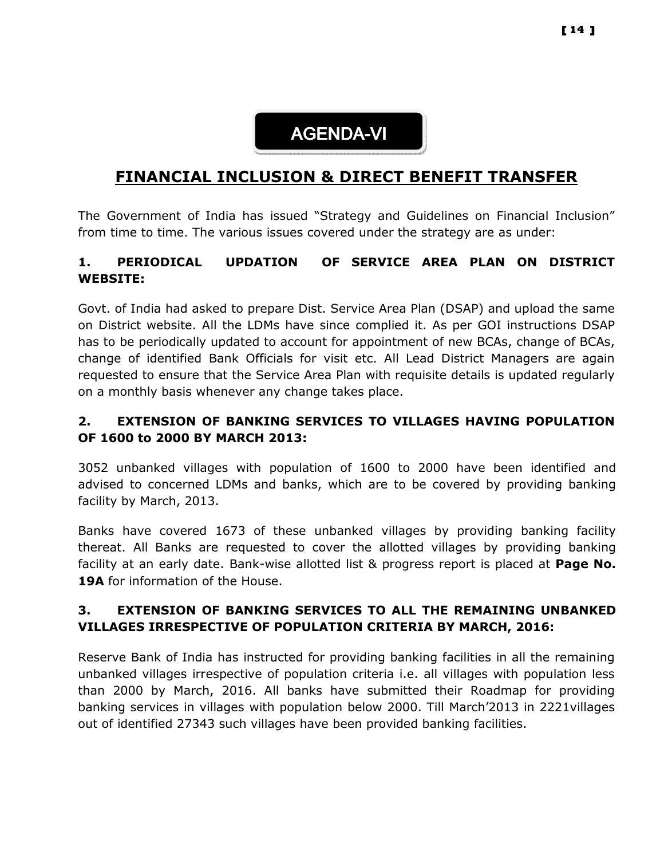

## FINANCIAL INCLUSION & DIRECT BENEFIT TRANSFER

The Government of India has issued "Strategy and Guidelines on Financial Inclusion" from time to time. The various issues covered under the strategy are as under:

## 1. PERIODICAL UPDATION OF SERVICE AREA PLAN ON DISTRICT WEBSITE:

Govt. of India had asked to prepare Dist. Service Area Plan (DSAP) and upload the same on District website. All the LDMs have since complied it. As per GOI instructions DSAP has to be periodically updated to account for appointment of new BCAs, change of BCAs, change of identified Bank Officials for visit etc. All Lead District Managers are again requested to ensure that the Service Area Plan with requisite details is updated regularly on a monthly basis whenever any change takes place.

## 2. EXTENSION OF BANKING SERVICES TO VILLAGES HAVING POPULATION OF 1600 to 2000 BY MARCH 2013:

3052 unbanked villages with population of 1600 to 2000 have been identified and advised to concerned LDMs and banks, which are to be covered by providing banking facility by March, 2013.

Banks have covered 1673 of these unbanked villages by providing banking facility thereat. All Banks are requested to cover the allotted villages by providing banking facility at an early date. Bank-wise allotted list & progress report is placed at **Page No.** 19A for information of the House.

#### 3. EXTENSION OF BANKING SERVICES TO ALL THE REMAINING UNBANKED VILLAGES IRRESPECTIVE OF POPULATION CRITERIA BY MARCH, 2016:

Reserve Bank of India has instructed for providing banking facilities in all the remaining unbanked villages irrespective of population criteria i.e. all villages with population less than 2000 by March, 2016. All banks have submitted their Roadmap for providing banking services in villages with population below 2000. Till March'2013 in 2221villages out of identified 27343 such villages have been provided banking facilities.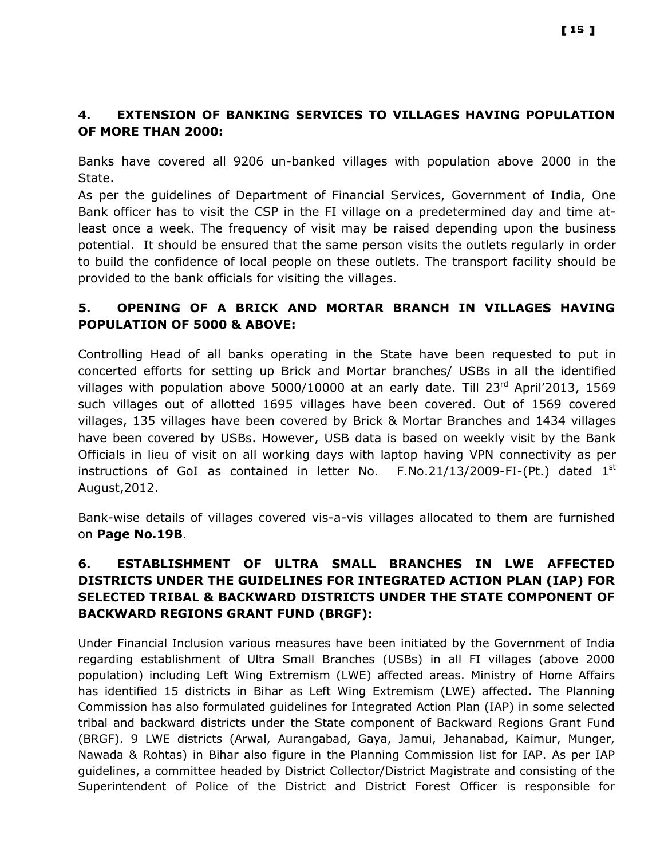## 4. EXTENSION OF BANKING SERVICES TO VILLAGES HAVING POPULATION OF MORE THAN 2000:

Banks have covered all 9206 un-banked villages with population above 2000 in the State.

As per the guidelines of Department of Financial Services, Government of India, One Bank officer has to visit the CSP in the FI village on a predetermined day and time atleast once a week. The frequency of visit may be raised depending upon the business potential. It should be ensured that the same person visits the outlets regularly in order to build the confidence of local people on these outlets. The transport facility should be provided to the bank officials for visiting the villages.

## 5. OPENING OF A BRICK AND MORTAR BRANCH IN VILLAGES HAVING POPULATION OF 5000 & ABOVE:

Controlling Head of all banks operating in the State have been requested to put in concerted efforts for setting up Brick and Mortar branches/ USBs in all the identified villages with population above 5000/10000 at an early date. Till  $23<sup>rd</sup>$  April'2013, 1569 such villages out of allotted 1695 villages have been covered. Out of 1569 covered villages, 135 villages have been covered by Brick & Mortar Branches and 1434 villages have been covered by USBs. However, USB data is based on weekly visit by the Bank Officials in lieu of visit on all working days with laptop having VPN connectivity as per instructions of GoI as contained in letter No.  $F.No.21/13/2009-FI-(Pt.)$  dated  $1<sup>st</sup>$ August,2012.

Bank-wise details of villages covered vis-a-vis villages allocated to them are furnished on Page No.19B.

## 6. ESTABLISHMENT OF ULTRA SMALL BRANCHES IN LWE AFFECTED DISTRICTS UNDER THE GUIDELINES FOR INTEGRATED ACTION PLAN (IAP) FOR SELECTED TRIBAL & BACKWARD DISTRICTS UNDER THE STATE COMPONENT OF BACKWARD REGIONS GRANT FUND (BRGF):

Under Financial Inclusion various measures have been initiated by the Government of India regarding establishment of Ultra Small Branches (USBs) in all FI villages (above 2000 population) including Left Wing Extremism (LWE) affected areas. Ministry of Home Affairs has identified 15 districts in Bihar as Left Wing Extremism (LWE) affected. The Planning Commission has also formulated guidelines for Integrated Action Plan (IAP) in some selected tribal and backward districts under the State component of Backward Regions Grant Fund (BRGF). 9 LWE districts (Arwal, Aurangabad, Gaya, Jamui, Jehanabad, Kaimur, Munger, Nawada & Rohtas) in Bihar also figure in the Planning Commission list for IAP. As per IAP guidelines, a committee headed by District Collector/District Magistrate and consisting of the Superintendent of Police of the District and District Forest Officer is responsible for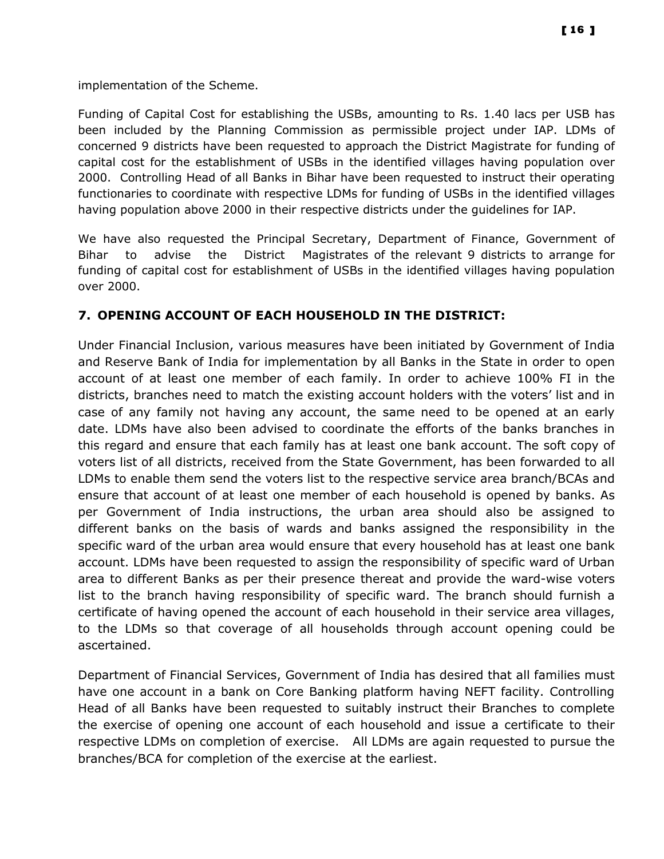implementation of the Scheme.

Funding of Capital Cost for establishing the USBs, amounting to Rs. 1.40 lacs per USB has been included by the Planning Commission as permissible project under IAP. LDMs of concerned 9 districts have been requested to approach the District Magistrate for funding of capital cost for the establishment of USBs in the identified villages having population over 2000. Controlling Head of all Banks in Bihar have been requested to instruct their operating functionaries to coordinate with respective LDMs for funding of USBs in the identified villages having population above 2000 in their respective districts under the guidelines for IAP.

We have also requested the Principal Secretary, Department of Finance, Government of Bihar to advise the District Magistrates of the relevant 9 districts to arrange for funding of capital cost for establishment of USBs in the identified villages having population over 2000.

#### 7. OPENING ACCOUNT OF EACH HOUSEHOLD IN THE DISTRICT:

Under Financial Inclusion, various measures have been initiated by Government of India and Reserve Bank of India for implementation by all Banks in the State in order to open account of at least one member of each family. In order to achieve 100% FI in the districts, branches need to match the existing account holders with the voters' list and in case of any family not having any account, the same need to be opened at an early date. LDMs have also been advised to coordinate the efforts of the banks branches in this regard and ensure that each family has at least one bank account. The soft copy of voters list of all districts, received from the State Government, has been forwarded to all LDMs to enable them send the voters list to the respective service area branch/BCAs and ensure that account of at least one member of each household is opened by banks. As per Government of India instructions, the urban area should also be assigned to different banks on the basis of wards and banks assigned the responsibility in the specific ward of the urban area would ensure that every household has at least one bank account. LDMs have been requested to assign the responsibility of specific ward of Urban area to different Banks as per their presence thereat and provide the ward-wise voters list to the branch having responsibility of specific ward. The branch should furnish a certificate of having opened the account of each household in their service area villages, to the LDMs so that coverage of all households through account opening could be ascertained.

Department of Financial Services, Government of India has desired that all families must have one account in a bank on Core Banking platform having NEFT facility. Controlling Head of all Banks have been requested to suitably instruct their Branches to complete the exercise of opening one account of each household and issue a certificate to their respective LDMs on completion of exercise. All LDMs are again requested to pursue the branches/BCA for completion of the exercise at the earliest.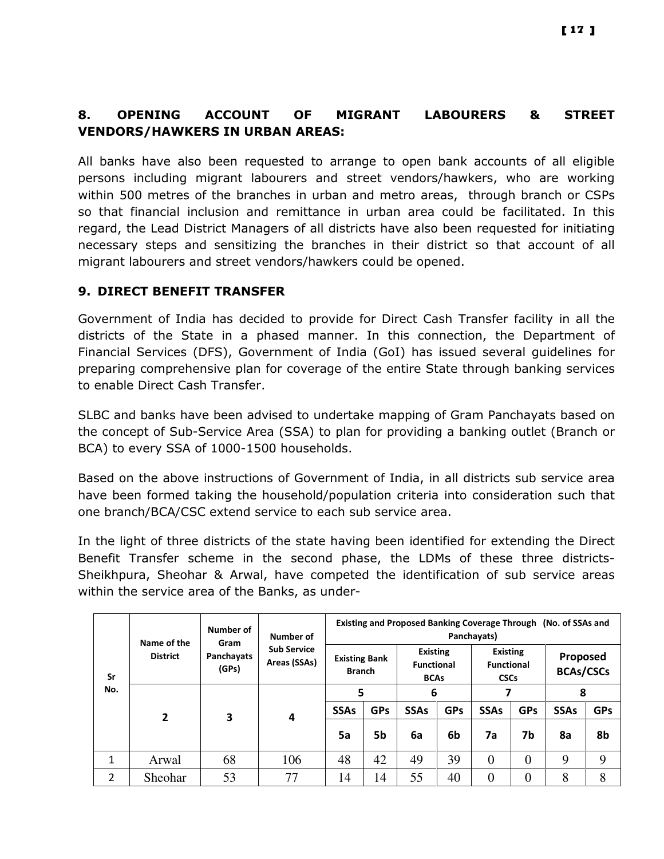## 8. OPENING ACCOUNT OF MIGRANT LABOURERS & STREET VENDORS/HAWKERS IN URBAN AREAS:

All banks have also been requested to arrange to open bank accounts of all eligible persons including migrant labourers and street vendors/hawkers, who are working within 500 metres of the branches in urban and metro areas, through branch or CSPs so that financial inclusion and remittance in urban area could be facilitated. In this regard, the Lead District Managers of all districts have also been requested for initiating necessary steps and sensitizing the branches in their district so that account of all migrant labourers and street vendors/hawkers could be opened.

## 9. DIRECT BENEFIT TRANSFER

Government of India has decided to provide for Direct Cash Transfer facility in all the districts of the State in a phased manner. In this connection, the Department of Financial Services (DFS), Government of India (GoI) has issued several guidelines for preparing comprehensive plan for coverage of the entire State through banking services to enable Direct Cash Transfer.

SLBC and banks have been advised to undertake mapping of Gram Panchayats based on the concept of Sub-Service Area (SSA) to plan for providing a banking outlet (Branch or BCA) to every SSA of 1000-1500 households.

Based on the above instructions of Government of India, in all districts sub service area have been formed taking the household/population criteria into consideration such that one branch/BCA/CSC extend service to each sub service area.

In the light of three districts of the state having been identified for extending the Direct Benefit Transfer scheme in the second phase, the LDMs of these three districts-Sheikhpura, Sheohar & Arwal, have competed the identification of sub service areas within the service area of the Banks, as under-

|     | Number of<br>Name of the<br>Gram |                     |                                    | Existing and Proposed Banking Coverage Through (No. of SSAs and<br>Panchayats)<br>Number of            |            |             |                                                     |                |                              |             |            |  |
|-----|----------------------------------|---------------------|------------------------------------|--------------------------------------------------------------------------------------------------------|------------|-------------|-----------------------------------------------------|----------------|------------------------------|-------------|------------|--|
| Sr  | <b>District</b>                  | Panchayats<br>(GPs) | <b>Sub Service</b><br>Areas (SSAs) | <b>Existing</b><br><b>Existing Bank</b><br><b>Functional</b><br><b>Branch</b><br><b>BCAs</b><br>5<br>6 |            |             | <b>Existing</b><br><b>Functional</b><br><b>CSCs</b> |                | Proposed<br><b>BCAs/CSCs</b> |             |            |  |
| No. | 2                                | 3                   | 4                                  |                                                                                                        |            |             |                                                     |                |                              | 8           |            |  |
|     |                                  |                     |                                    | <b>SSAs</b>                                                                                            | <b>GPs</b> | <b>SSAs</b> | <b>GPs</b>                                          | <b>SSAs</b>    | <b>GPs</b>                   | <b>SSAs</b> | <b>GPs</b> |  |
|     |                                  |                     |                                    | 5a                                                                                                     | 5b         | 6a          | 6b                                                  | 7a             | 7b                           | 8a          | 8b         |  |
| 1   | Arwal                            | 68                  | 106                                | 48                                                                                                     | 42         | 49          | 39                                                  | $\overline{0}$ | $\overline{0}$               | 9           | 9          |  |
| 2   | Sheohar                          | 53                  | 77                                 | 14                                                                                                     | 14         | 55          | 40                                                  | $\theta$       | $\overline{0}$               | 8           | 8          |  |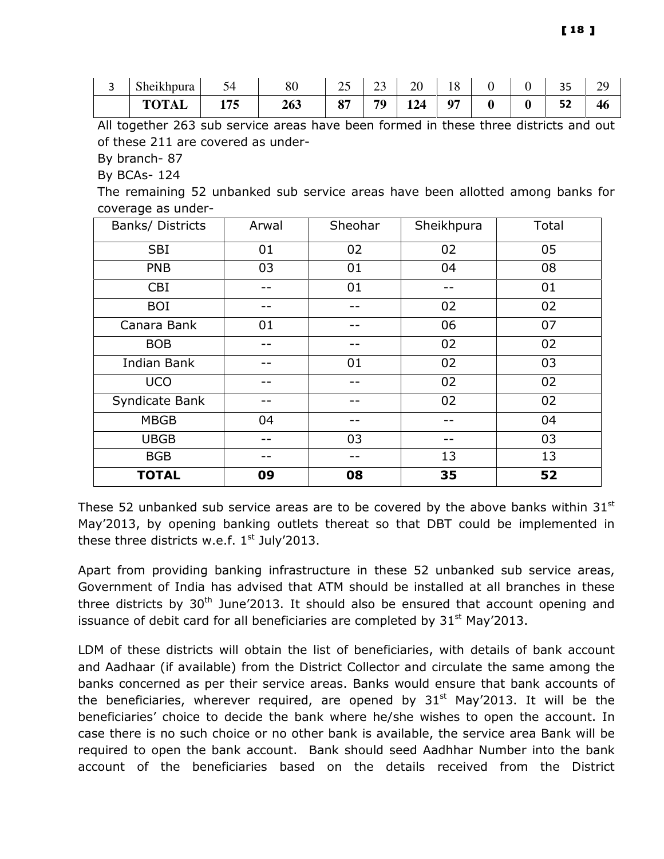| . . | $\cdots$<br>$\sim$ 1<br><b>Sheikhpura</b> | 74<br>ັ | 80  | ت                                    | ت  | 20              | $\circ$<br>1 Q |                  | $\cap$<br>-- | ЭC<br>ر ب |
|-----|-------------------------------------------|---------|-----|--------------------------------------|----|-----------------|----------------|------------------|--------------|-----------|
|     | TOTAL                                     | 175     | 263 | $Q_{\overline{7}}$<br>$\mathbf{v}$ , | 70 | 12 <sub>4</sub> | 07             | $\boldsymbol{0}$ | r۹<br>--     | 40        |

All together 263 sub service areas have been formed in these three districts and out of these 211 are covered as under-

By branch- 87

By BCAs- 124

The remaining 52 unbanked sub service areas have been allotted among banks for coverage as under-

| Banks/ Districts   | Arwal | Sheohar | Sheikhpura | Total |
|--------------------|-------|---------|------------|-------|
| <b>SBI</b>         | 01    | 02      | 02         | 05    |
| <b>PNB</b>         | 03    | 01      | 04         | 08    |
| <b>CBI</b>         |       | 01      |            | 01    |
| <b>BOI</b>         |       |         | 02         | 02    |
| Canara Bank        | 01    |         | 06         | 07    |
| <b>BOB</b>         |       |         | 02         | 02    |
| <b>Indian Bank</b> |       | 01      | 02         | 03    |
| <b>UCO</b>         |       | --      | 02         | 02    |
| Syndicate Bank     |       |         | 02         | 02    |
| <b>MBGB</b>        | 04    | --      |            | 04    |
| <b>UBGB</b>        |       | 03      |            | 03    |
| <b>BGB</b>         |       |         | 13         | 13    |
| <b>TOTAL</b>       | 09    | 08      | 35         | 52    |

These 52 unbanked sub service areas are to be covered by the above banks within  $31^{\rm st}$ May'2013, by opening banking outlets thereat so that DBT could be implemented in these three districts w.e.f.  $1<sup>st</sup>$  July'2013.

Apart from providing banking infrastructure in these 52 unbanked sub service areas, Government of India has advised that ATM should be installed at all branches in these three districts by  $30<sup>th</sup>$  June'2013. It should also be ensured that account opening and issuance of debit card for all beneficiaries are completed by  $31<sup>st</sup>$  May'2013.

LDM of these districts will obtain the list of beneficiaries, with details of bank account and Aadhaar (if available) from the District Collector and circulate the same among the banks concerned as per their service areas. Banks would ensure that bank accounts of the beneficiaries, wherever required, are opened by  $31<sup>st</sup>$  May'2013. It will be the beneficiaries' choice to decide the bank where he/she wishes to open the account. In case there is no such choice or no other bank is available, the service area Bank will be required to open the bank account. Bank should seed Aadhhar Number into the bank account of the beneficiaries based on the details received from the District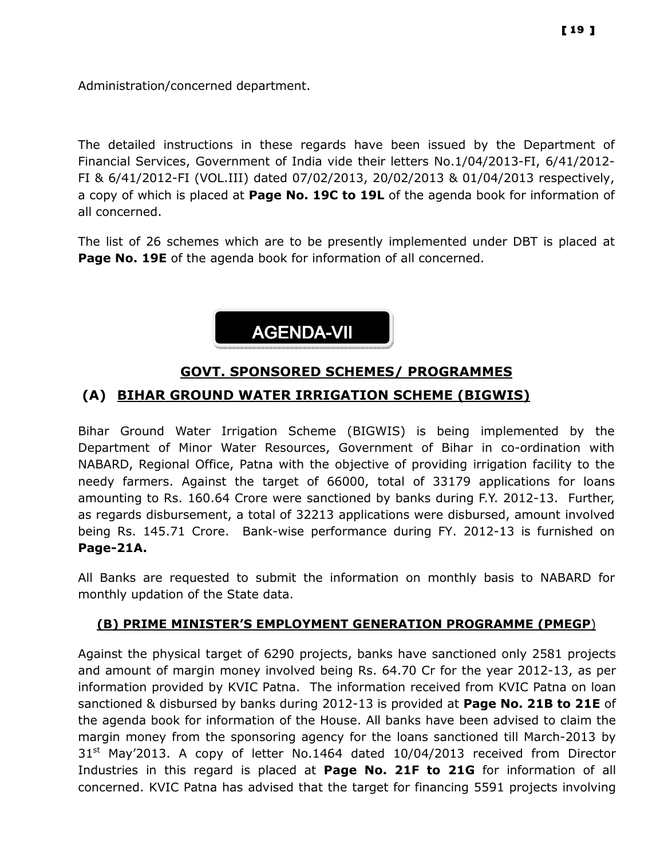Administration/concerned department.

The detailed instructions in these regards have been issued by the Department of Financial Services, Government of India vide their letters No.1/04/2013-FI, 6/41/2012- FI & 6/41/2012-FI (VOL.III) dated 07/02/2013, 20/02/2013 & 01/04/2013 respectively, a copy of which is placed at Page No. 19C to 19L of the agenda book for information of all concerned.

The list of 26 schemes which are to be presently implemented under DBT is placed at **Page No. 19E** of the agenda book for information of all concerned.



## GOVT. SPONSORED SCHEMES/ PROGRAMMES (A) BIHAR GROUND WATER IRRIGATION SCHEME (BIGWIS)

Bihar Ground Water Irrigation Scheme (BIGWIS) is being implemented by the Department of Minor Water Resources, Government of Bihar in co-ordination with NABARD, Regional Office, Patna with the objective of providing irrigation facility to the needy farmers. Against the target of 66000, total of 33179 applications for loans amounting to Rs. 160.64 Crore were sanctioned by banks during F.Y. 2012-13. Further, as regards disbursement, a total of 32213 applications were disbursed, amount involved being Rs. 145.71 Crore. Bank-wise performance during FY. 2012-13 is furnished on Page-21A.

All Banks are requested to submit the information on monthly basis to NABARD for monthly updation of the State data.

## (B) PRIME MINISTER'S EMPLOYMENT GENERATION PROGRAMME (PMEGP)

Against the physical target of 6290 projects, banks have sanctioned only 2581 projects and amount of margin money involved being Rs. 64.70 Cr for the year 2012-13, as per information provided by KVIC Patna. The information received from KVIC Patna on loan sanctioned & disbursed by banks during 2012-13 is provided at **Page No. 21B to 21E** of the agenda book for information of the House. All banks have been advised to claim the margin money from the sponsoring agency for the loans sanctioned till March-2013 by 31<sup>st</sup> May'2013. A copy of letter No.1464 dated 10/04/2013 received from Director Industries in this regard is placed at Page No. 21F to 21G for information of all concerned. KVIC Patna has advised that the target for financing 5591 projects involving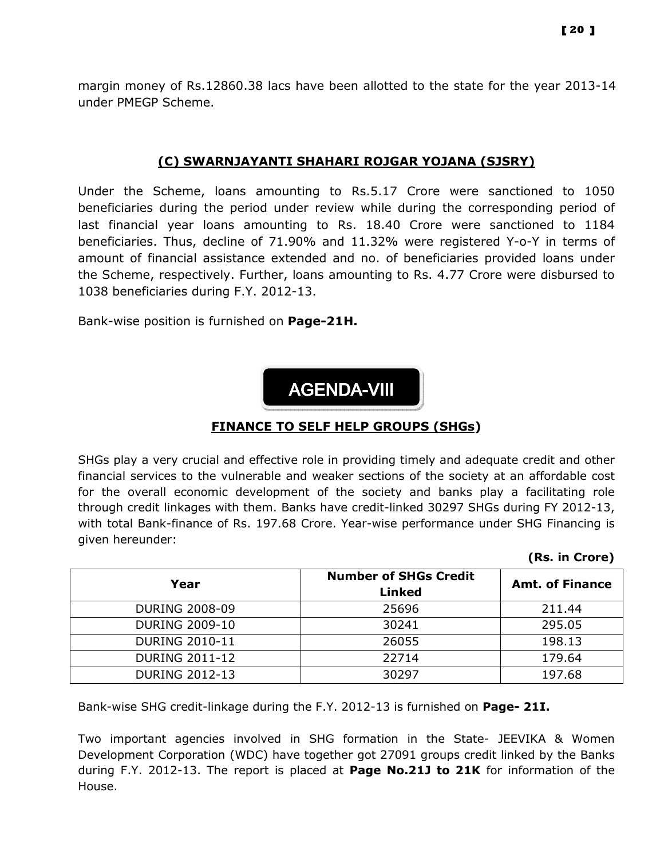margin money of Rs.12860.38 lacs have been allotted to the state for the year 2013-14 under PMEGP Scheme.

#### (C) SWARNJAYANTI SHAHARI ROJGAR YOJANA (SJSRY)

Under the Scheme, loans amounting to Rs.5.17 Crore were sanctioned to 1050 beneficiaries during the period under review while during the corresponding period of last financial year loans amounting to Rs. 18.40 Crore were sanctioned to 1184 beneficiaries. Thus, decline of 71.90% and 11.32% were registered Y-o-Y in terms of amount of financial assistance extended and no. of beneficiaries provided loans under the Scheme, respectively. Further, loans amounting to Rs. 4.77 Crore were disbursed to 1038 beneficiaries during F.Y. 2012-13.

Bank-wise position is furnished on Page-21H.



#### FINANCE TO SELF HELP GROUPS (SHGs)

SHGs play a very crucial and effective role in providing timely and adequate credit and other financial services to the vulnerable and weaker sections of the society at an affordable cost for the overall economic development of the society and banks play a facilitating role through credit linkages with them. Banks have credit-linked 30297 SHGs during FY 2012-13, with total Bank-finance of Rs. 197.68 Crore. Year-wise performance under SHG Financing is given hereunder:

| Year                  | <b>Number of SHGs Credit</b><br><b>Linked</b> | <b>Amt. of Finance</b> |
|-----------------------|-----------------------------------------------|------------------------|
| <b>DURING 2008-09</b> | 25696                                         | 211.44                 |
| <b>DURING 2009-10</b> | 30241                                         | 295.05                 |
| <b>DURING 2010-11</b> | 26055                                         | 198.13                 |
| <b>DURING 2011-12</b> | 22714                                         | 179.64                 |
| <b>DURING 2012-13</b> | 30297                                         | 197.68                 |

Bank-wise SHG credit-linkage during the F.Y. 2012-13 is furnished on Page- 21I.

Two important agencies involved in SHG formation in the State- JEEVIKA & Women Development Corporation (WDC) have together got 27091 groups credit linked by the Banks during F.Y. 2012-13. The report is placed at **Page No.21J to 21K** for information of the House.

#### (Rs. in Crore)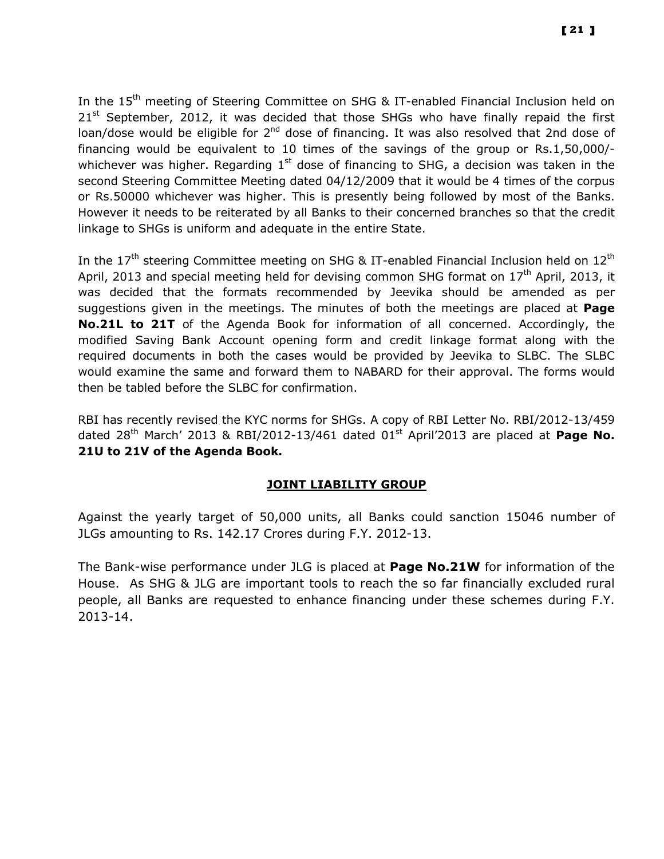In the 15<sup>th</sup> meeting of Steering Committee on SHG & IT-enabled Financial Inclusion held on  $21<sup>st</sup>$  September, 2012, it was decided that those SHGs who have finally repaid the first loan/dose would be eligible for  $2<sup>nd</sup>$  dose of financing. It was also resolved that 2nd dose of financing would be equivalent to 10 times of the savings of the group or Rs.1,50,000/ whichever was higher. Regarding  $1<sup>st</sup>$  dose of financing to SHG, a decision was taken in the second Steering Committee Meeting dated 04/12/2009 that it would be 4 times of the corpus or Rs.50000 whichever was higher. This is presently being followed by most of the Banks. However it needs to be reiterated by all Banks to their concerned branches so that the credit linkage to SHGs is uniform and adequate in the entire State.

In the  $17<sup>th</sup>$  steering Committee meeting on SHG & IT-enabled Financial Inclusion held on  $12<sup>th</sup>$ April, 2013 and special meeting held for devising common SHG format on  $17<sup>th</sup>$  April, 2013, it was decided that the formats recommended by Jeevika should be amended as per suggestions given in the meetings. The minutes of both the meetings are placed at **Page** No.21L to 21T of the Agenda Book for information of all concerned. Accordingly, the modified Saving Bank Account opening form and credit linkage format along with the required documents in both the cases would be provided by Jeevika to SLBC. The SLBC would examine the same and forward them to NABARD for their approval. The forms would then be tabled before the SLBC for confirmation.

RBI has recently revised the KYC norms for SHGs. A copy of RBI Letter No. RBI/2012-13/459 dated  $28<sup>th</sup>$  March' 2013 & RBI/2012-13/461 dated 01 $<sup>st</sup>$  April'2013 are placed at Page No.</sup> 21U to 21V of the Agenda Book.

#### JOINT LIABILITY GROUP

Against the yearly target of 50,000 units, all Banks could sanction 15046 number of JLGs amounting to Rs. 142.17 Crores during F.Y. 2012-13.

The Bank-wise performance under JLG is placed at Page No.21W for information of the House. As SHG & JLG are important tools to reach the so far financially excluded rural people, all Banks are requested to enhance financing under these schemes during F.Y. 2013-14.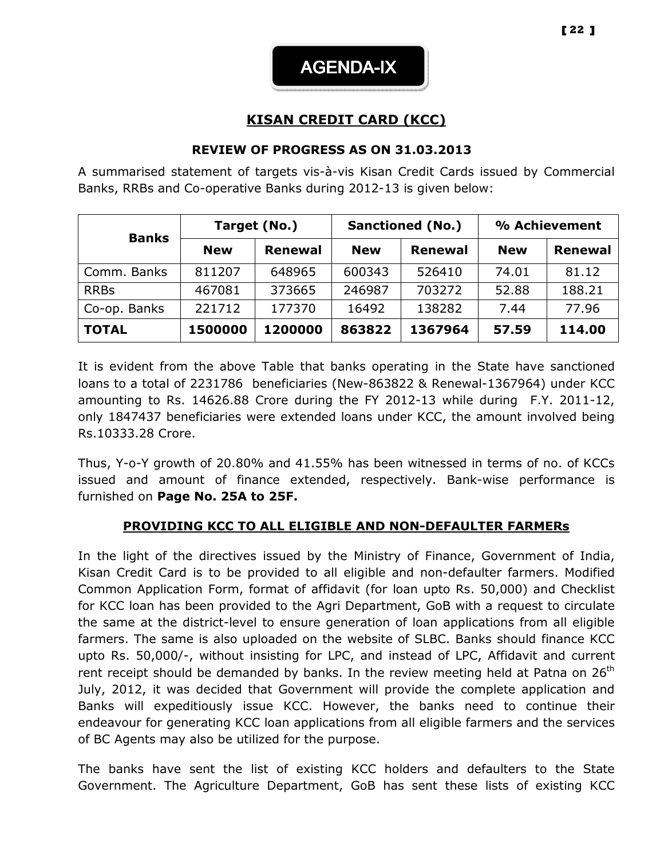AGENDA-IX

## KISAN CREDIT CARD (KCC)

#### REVIEW OF PROGRESS AS ON 31.03.2013

A summarised statement of targets vis-à-vis Kisan Credit Cards issued by Commercial Banks, RRBs and Co-operative Banks during 2012-13 is given below:

| <b>Banks</b> | Target (No.) |                |            | <b>Sanctioned (No.)</b> | % Achievement |                |  |
|--------------|--------------|----------------|------------|-------------------------|---------------|----------------|--|
|              | <b>New</b>   | <b>Renewal</b> | <b>New</b> | <b>Renewal</b>          | <b>New</b>    | <b>Renewal</b> |  |
| Comm. Banks  | 811207       | 648965         | 600343     | 526410                  | 74.01         | 81.12          |  |
| <b>RRBs</b>  | 467081       | 373665         | 246987     | 703272                  | 52.88         | 188.21         |  |
| Co-op. Banks | 221712       | 177370         | 16492      | 138282                  | 7.44          | 77.96          |  |
| <b>TOTAL</b> | 1500000      | 1200000        | 863822     | 1367964                 | 57.59         | 114.00         |  |

It is evident from the above Table that banks operating in the State have sanctioned loans to a total of 2231786 beneficiaries (New-863822 & Renewal-1367964) under KCC amounting to Rs. 14626.88 Crore during the FY 2012-13 while during F.Y. 2011-12, only 1847437 beneficiaries were extended loans under KCC, the amount involved being Rs.10333.28 Crore.

Thus, Y-o-Y growth of 20.80% and 41.55% has been witnessed in terms of no. of KCCs issued and amount of finance extended, respectively. Bank-wise performance is furnished on Page No. 25A to 25F.

## PROVIDING KCC TO ALL ELIGIBLE AND NON-DEFAULTER FARMERs

In the light of the directives issued by the Ministry of Finance, Government of India, Kisan Credit Card is to be provided to all eligible and non-defaulter farmers. Modified Common Application Form, format of affidavit (for loan upto Rs. 50,000) and Checklist for KCC loan has been provided to the Agri Department, GoB with a request to circulate the same at the district-level to ensure generation of loan applications from all eligible farmers. The same is also uploaded on the website of SLBC. Banks should finance KCC upto Rs. 50,000/-, without insisting for LPC, and instead of LPC, Affidavit and current rent receipt should be demanded by banks. In the review meeting held at Patna on  $26^{th}$ July, 2012, it was decided that Government will provide the complete application and Banks will expeditiously issue KCC. However, the banks need to continue their endeavour for generating KCC loan applications from all eligible farmers and the services of BC Agents may also be utilized for the purpose.

The banks have sent the list of existing KCC holders and defaulters to the State Government. The Agriculture Department, GoB has sent these lists of existing KCC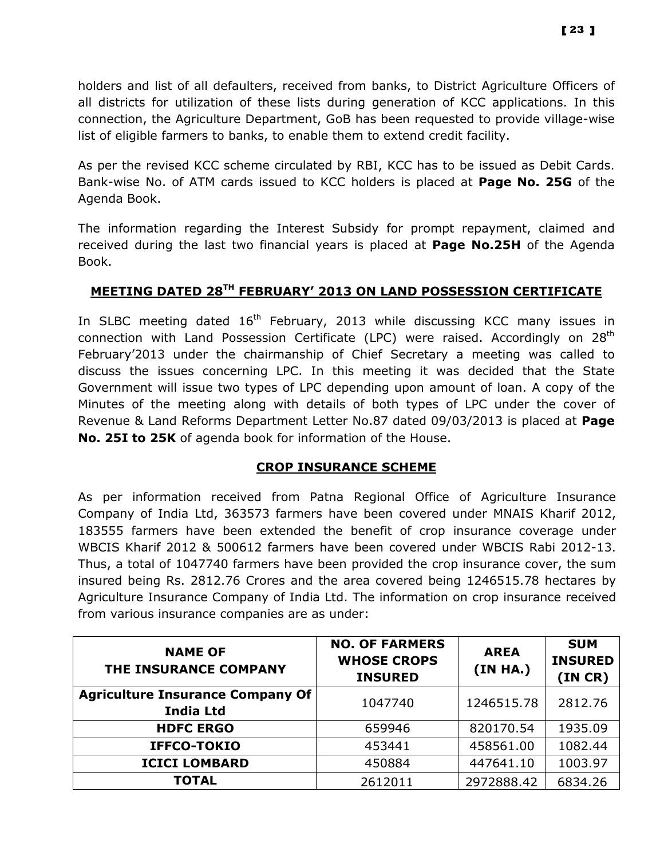holders and list of all defaulters, received from banks, to District Agriculture Officers of all districts for utilization of these lists during generation of KCC applications. In this connection, the Agriculture Department, GoB has been requested to provide village-wise list of eligible farmers to banks, to enable them to extend credit facility.

As per the revised KCC scheme circulated by RBI, KCC has to be issued as Debit Cards. Bank-wise No. of ATM cards issued to KCC holders is placed at Page No. 25G of the Agenda Book.

The information regarding the Interest Subsidy for prompt repayment, claimed and received during the last two financial years is placed at **Page No.25H** of the Agenda Book.

## MEETING DATED 28TH FEBRUARY' 2013 ON LAND POSSESSION CERTIFICATE

In SLBC meeting dated 16<sup>th</sup> February, 2013 while discussing KCC many issues in connection with Land Possession Certificate (LPC) were raised. Accordingly on 28<sup>th</sup> February'2013 under the chairmanship of Chief Secretary a meeting was called to discuss the issues concerning LPC. In this meeting it was decided that the State Government will issue two types of LPC depending upon amount of loan. A copy of the Minutes of the meeting along with details of both types of LPC under the cover of Revenue & Land Reforms Department Letter No.87 dated 09/03/2013 is placed at Page No. 25I to 25K of agenda book for information of the House.

#### CROP INSURANCE SCHEME

As per information received from Patna Regional Office of Agriculture Insurance Company of India Ltd, 363573 farmers have been covered under MNAIS Kharif 2012, 183555 farmers have been extended the benefit of crop insurance coverage under WBCIS Kharif 2012 & 500612 farmers have been covered under WBCIS Rabi 2012-13. Thus, a total of 1047740 farmers have been provided the crop insurance cover, the sum insured being Rs. 2812.76 Crores and the area covered being 1246515.78 hectares by Agriculture Insurance Company of India Ltd. The information on crop insurance received from various insurance companies are as under:

| <b>NAME OF</b><br>THE INSURANCE COMPANY                     | <b>NO. OF FARMERS</b><br><b>WHOSE CROPS</b><br><b>INSURED</b> | <b>AREA</b><br>(IN HA.) | <b>SUM</b><br><b>INSURED</b><br>(INCR) |
|-------------------------------------------------------------|---------------------------------------------------------------|-------------------------|----------------------------------------|
| <b>Agriculture Insurance Company Of</b><br><b>India Ltd</b> | 1047740                                                       | 1246515.78              | 2812.76                                |
| <b>HDFC ERGO</b>                                            | 659946                                                        | 820170.54               | 1935.09                                |
| IFFCO-TOKIO                                                 | 453441                                                        | 458561.00               | 1082.44                                |
| <b>ICICI LOMBARD</b>                                        | 450884                                                        | 447641.10               | 1003.97                                |
| <b>TOTAL</b>                                                | 2612011                                                       | 2972888.42              | 6834.26                                |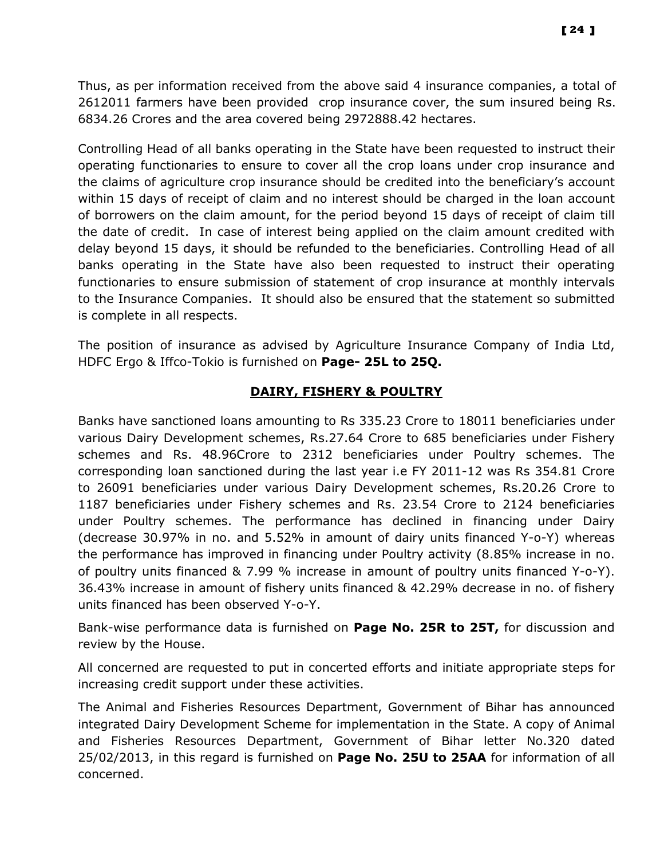Thus, as per information received from the above said 4 insurance companies, a total of 2612011 farmers have been provided crop insurance cover, the sum insured being Rs. 6834.26 Crores and the area covered being 2972888.42 hectares.

Controlling Head of all banks operating in the State have been requested to instruct their operating functionaries to ensure to cover all the crop loans under crop insurance and the claims of agriculture crop insurance should be credited into the beneficiary's account within 15 days of receipt of claim and no interest should be charged in the loan account of borrowers on the claim amount, for the period beyond 15 days of receipt of claim till the date of credit. In case of interest being applied on the claim amount credited with delay beyond 15 days, it should be refunded to the beneficiaries. Controlling Head of all banks operating in the State have also been requested to instruct their operating functionaries to ensure submission of statement of crop insurance at monthly intervals to the Insurance Companies. It should also be ensured that the statement so submitted is complete in all respects.

The position of insurance as advised by Agriculture Insurance Company of India Ltd, HDFC Ergo & Iffco-Tokio is furnished on Page- 25L to 25Q.

## DAIRY, FISHERY & POULTRY

Banks have sanctioned loans amounting to Rs 335.23 Crore to 18011 beneficiaries under various Dairy Development schemes, Rs.27.64 Crore to 685 beneficiaries under Fishery schemes and Rs. 48.96Crore to 2312 beneficiaries under Poultry schemes. The corresponding loan sanctioned during the last year i.e FY 2011-12 was Rs 354.81 Crore to 26091 beneficiaries under various Dairy Development schemes, Rs.20.26 Crore to 1187 beneficiaries under Fishery schemes and Rs. 23.54 Crore to 2124 beneficiaries under Poultry schemes. The performance has declined in financing under Dairy (decrease 30.97% in no. and 5.52% in amount of dairy units financed Y-o-Y) whereas the performance has improved in financing under Poultry activity (8.85% increase in no. of poultry units financed & 7.99 % increase in amount of poultry units financed Y-o-Y). 36.43% increase in amount of fishery units financed & 42.29% decrease in no. of fishery units financed has been observed Y-o-Y.

Bank-wise performance data is furnished on Page No. 25R to 25T, for discussion and review by the House.

All concerned are requested to put in concerted efforts and initiate appropriate steps for increasing credit support under these activities.

The Animal and Fisheries Resources Department, Government of Bihar has announced integrated Dairy Development Scheme for implementation in the State. A copy of Animal and Fisheries Resources Department, Government of Bihar letter No.320 dated 25/02/2013, in this regard is furnished on Page No. 25U to 25AA for information of all concerned.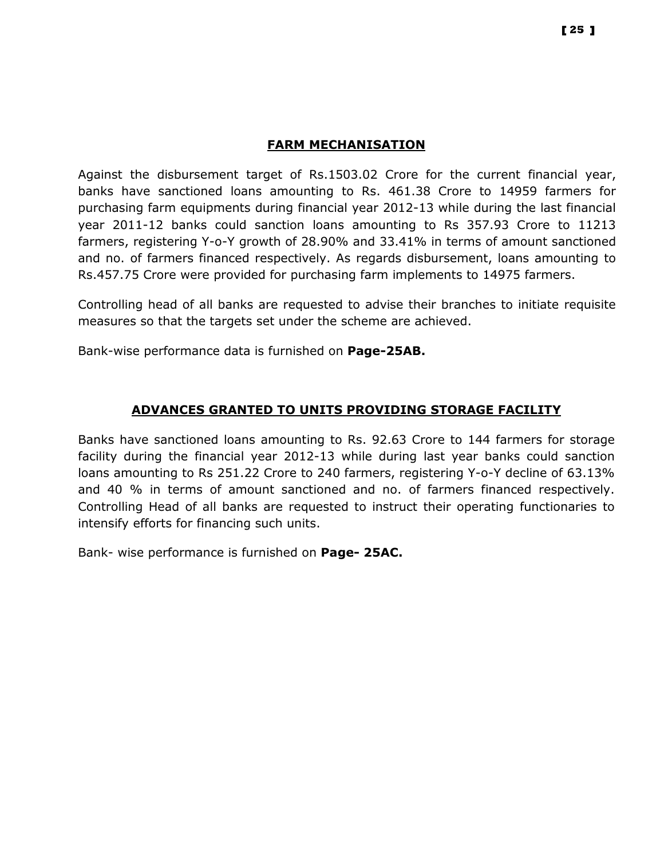#### FARM MECHANISATION

Against the disbursement target of Rs.1503.02 Crore for the current financial year, banks have sanctioned loans amounting to Rs. 461.38 Crore to 14959 farmers for purchasing farm equipments during financial year 2012-13 while during the last financial year 2011-12 banks could sanction loans amounting to Rs 357.93 Crore to 11213 farmers, registering Y-o-Y growth of 28.90% and 33.41% in terms of amount sanctioned and no. of farmers financed respectively. As regards disbursement, loans amounting to Rs.457.75 Crore were provided for purchasing farm implements to 14975 farmers.

Controlling head of all banks are requested to advise their branches to initiate requisite measures so that the targets set under the scheme are achieved.

Bank-wise performance data is furnished on Page-25AB.

## ADVANCES GRANTED TO UNITS PROVIDING STORAGE FACILITY

Banks have sanctioned loans amounting to Rs. 92.63 Crore to 144 farmers for storage facility during the financial year 2012-13 while during last year banks could sanction loans amounting to Rs 251.22 Crore to 240 farmers, registering Y-o-Y decline of 63.13% and 40 % in terms of amount sanctioned and no. of farmers financed respectively. Controlling Head of all banks are requested to instruct their operating functionaries to intensify efforts for financing such units.

Bank- wise performance is furnished on Page- 25AC.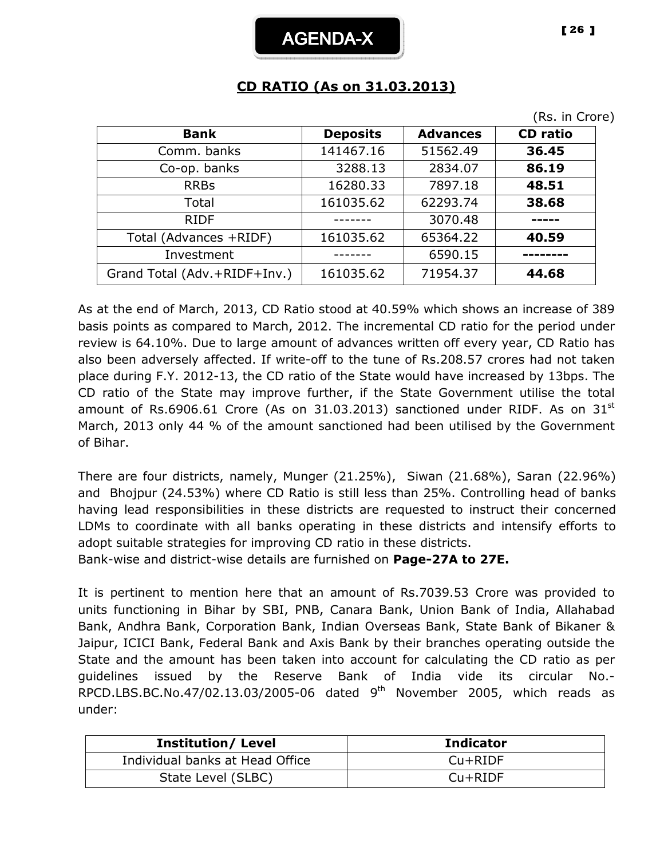## CD RATIO (As on 31.03.2013)

| <b>Deposits</b> | <b>Advances</b> | <b>CD</b> ratio |
|-----------------|-----------------|-----------------|
| 141467.16       | 51562.49        | 36.45           |
| 3288.13         | 2834.07         | 86.19           |
| 16280.33        | 7897.18         | 48.51           |
| 161035.62       | 62293.74        | 38.68           |
|                 | 3070.48         | -----           |
| 161035.62       | 65364.22        | 40.59           |
|                 | 6590.15         |                 |
| 161035.62       | 71954.37        | 44.68           |
|                 |                 |                 |

As at the end of March, 2013, CD Ratio stood at 40.59% which shows an increase of 389 basis points as compared to March, 2012. The incremental CD ratio for the period under review is 64.10%. Due to large amount of advances written off every year, CD Ratio has also been adversely affected. If write-off to the tune of Rs.208.57 crores had not taken place during F.Y. 2012-13, the CD ratio of the State would have increased by 13bps. The CD ratio of the State may improve further, if the State Government utilise the total amount of Rs.6906.61 Crore (As on 31.03.2013) sanctioned under RIDF. As on  $31<sup>st</sup>$ March, 2013 only 44 % of the amount sanctioned had been utilised by the Government of Bihar.

There are four districts, namely, Munger (21.25%), Siwan (21.68%), Saran (22.96%) and Bhojpur (24.53%) where CD Ratio is still less than 25%. Controlling head of banks having lead responsibilities in these districts are requested to instruct their concerned LDMs to coordinate with all banks operating in these districts and intensify efforts to adopt suitable strategies for improving CD ratio in these districts.

Bank-wise and district-wise details are furnished on Page-27A to 27E.

It is pertinent to mention here that an amount of Rs.7039.53 Crore was provided to units functioning in Bihar by SBI, PNB, Canara Bank, Union Bank of India, Allahabad Bank, Andhra Bank, Corporation Bank, Indian Overseas Bank, State Bank of Bikaner & Jaipur, ICICI Bank, Federal Bank and Axis Bank by their branches operating outside the State and the amount has been taken into account for calculating the CD ratio as per guidelines issued by the Reserve Bank of India vide its circular No.- RPCD.LBS.BC.No.47/02.13.03/2005-06 dated 9<sup>th</sup> November 2005, which reads as under:

| <b>Institution/Level</b>        | <b>Indicator</b> |
|---------------------------------|------------------|
| Individual banks at Head Office | $Cu+RIDF$        |
| State Level (SLBC)              | $Cu+RIDF$        |

(Rs. in Crore)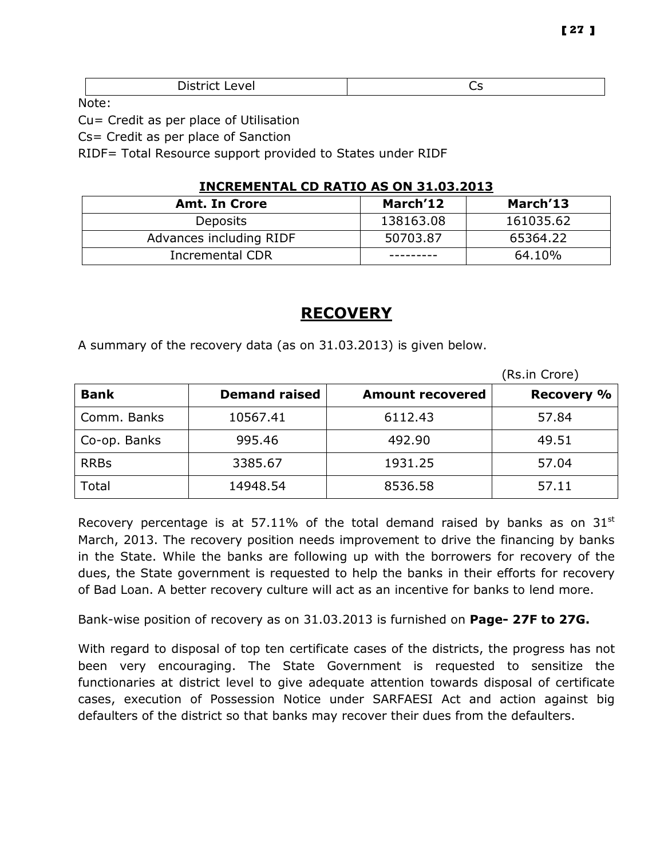| Dichter<br>∟evel<br><b>DISLILL</b> | ີ |
|------------------------------------|---|
|                                    |   |

Note:

Cu= Credit as per place of Utilisation

Cs= Credit as per place of Sanction

RIDF= Total Resource support provided to States under RIDF

#### INCREMENTAL CD RATIO AS ON 31.03.2013

| <b>Amt. In Crore</b>    | March'12  | March'13  |
|-------------------------|-----------|-----------|
| <b>Deposits</b>         | 138163.08 | 161035.62 |
| Advances including RIDF | 50703.87  | 65364.22  |
| Incremental CDR         |           | 64.10%    |

## RECOVERY

A summary of the recovery data (as on 31.03.2013) is given below.

|              |                      |                         | (Rs.in Crore)     |
|--------------|----------------------|-------------------------|-------------------|
| <b>Bank</b>  | <b>Demand raised</b> | <b>Amount recovered</b> | <b>Recovery %</b> |
| Comm. Banks  | 10567.41             | 6112.43                 | 57.84             |
| Co-op. Banks | 995.46               | 492.90                  | 49.51             |
| <b>RRBs</b>  | 3385.67              | 1931.25                 | 57.04             |
| Total        | 14948.54             | 8536.58                 | 57.11             |

Recovery percentage is at 57.11% of the total demand raised by banks as on  $31<sup>st</sup>$ March, 2013. The recovery position needs improvement to drive the financing by banks in the State. While the banks are following up with the borrowers for recovery of the dues, the State government is requested to help the banks in their efforts for recovery of Bad Loan. A better recovery culture will act as an incentive for banks to lend more.

Bank-wise position of recovery as on 31.03.2013 is furnished on Page- 27F to 27G.

With regard to disposal of top ten certificate cases of the districts, the progress has not been very encouraging. The State Government is requested to sensitize the functionaries at district level to give adequate attention towards disposal of certificate cases, execution of Possession Notice under SARFAESI Act and action against big defaulters of the district so that banks may recover their dues from the defaulters.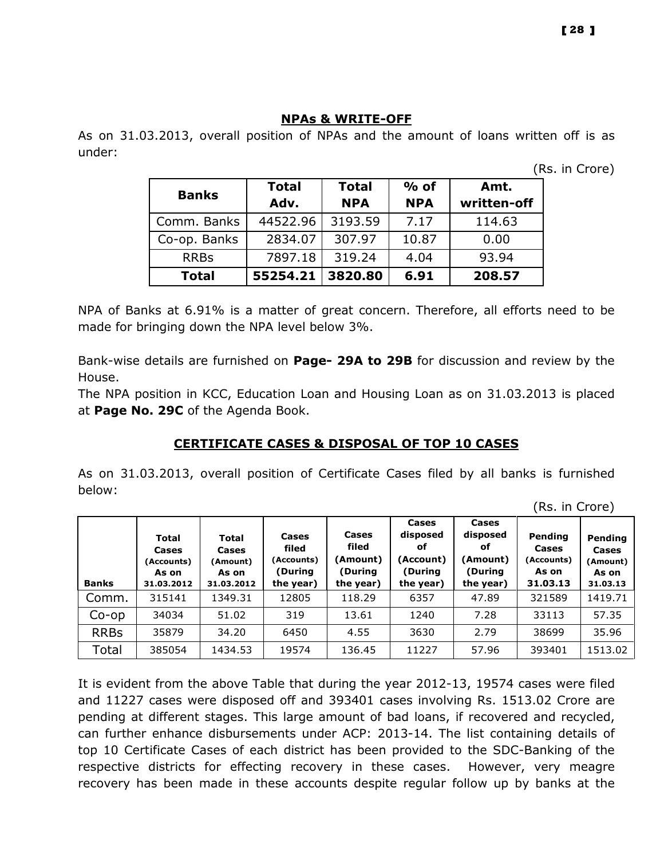As on 31.03.2013, overall position of NPAs and the amount of loans written off is as under:

(Rs. in Crore)

| <b>Banks</b> | <b>Total</b> | <b>Total</b> | $%$ of     | Amt.        |  |
|--------------|--------------|--------------|------------|-------------|--|
|              | Adv.         | <b>NPA</b>   | <b>NPA</b> | written-off |  |
| Comm. Banks  | 44522.96     | 3193.59      | 7.17       | 114.63      |  |
| Co-op. Banks | 2834.07      | 307.97       | 10.87      | 0.00        |  |
| <b>RRBs</b>  | 7897.18      | 319.24       | 4.04       | 93.94       |  |
| <b>Total</b> | 55254.21     | 3820.80      | 6.91       | 208.57      |  |

NPA of Banks at 6.91% is a matter of great concern. Therefore, all efforts need to be made for bringing down the NPA level below 3%.

Bank-wise details are furnished on Page- 29A to 29B for discussion and review by the House.

The NPA position in KCC, Education Loan and Housing Loan as on 31.03.2013 is placed at Page No. 29C of the Agenda Book.

## CERTIFICATE CASES & DISPOSAL OF TOP 10 CASES

As on 31.03.2013, overall position of Certificate Cases filed by all banks is furnished below:

(Rs. in Crore)

| <b>Banks</b> | <b>Total</b><br>Cases<br>(Accounts)<br>As on<br>31.03.2012 | <b>Total</b><br>Cases<br>(Amount)<br>As on<br>31.03.2012 | Cases<br>filed<br>(Accounts)<br>(During<br>the year) | Cases<br>filed<br>(Amount)<br>(During<br>the year) | Cases<br>disposed<br>оf<br>(Account)<br>(During<br>the year) | Cases<br>disposed<br>оf<br>(Amount)<br>(During<br>the year) | Pending<br>Cases<br>(Accounts)<br>As on<br>31.03.13 | Pending<br>Cases<br>(Amount)<br>As on<br>31.03.13 |
|--------------|------------------------------------------------------------|----------------------------------------------------------|------------------------------------------------------|----------------------------------------------------|--------------------------------------------------------------|-------------------------------------------------------------|-----------------------------------------------------|---------------------------------------------------|
| Comm.        | 315141                                                     | 1349.31                                                  | 12805                                                | 118.29                                             | 6357                                                         | 47.89                                                       | 321589                                              | 1419.71                                           |
| $Co$ -op     | 34034                                                      | 51.02                                                    | 319                                                  | 13.61                                              | 1240                                                         | 7.28                                                        | 33113                                               | 57.35                                             |
| <b>RRBs</b>  | 35879                                                      | 34.20                                                    | 6450                                                 | 4.55                                               | 3630                                                         | 2.79                                                        | 38699                                               | 35.96                                             |
| Total        | 385054                                                     | 1434.53                                                  | 19574                                                | 136.45                                             | 11227                                                        | 57.96                                                       | 393401                                              | 1513.02                                           |

It is evident from the above Table that during the year 2012-13, 19574 cases were filed and 11227 cases were disposed off and 393401 cases involving Rs. 1513.02 Crore are pending at different stages. This large amount of bad loans, if recovered and recycled, can further enhance disbursements under ACP: 2013-14. The list containing details of top 10 Certificate Cases of each district has been provided to the SDC-Banking of the respective districts for effecting recovery in these cases. However, very meagre recovery has been made in these accounts despite regular follow up by banks at the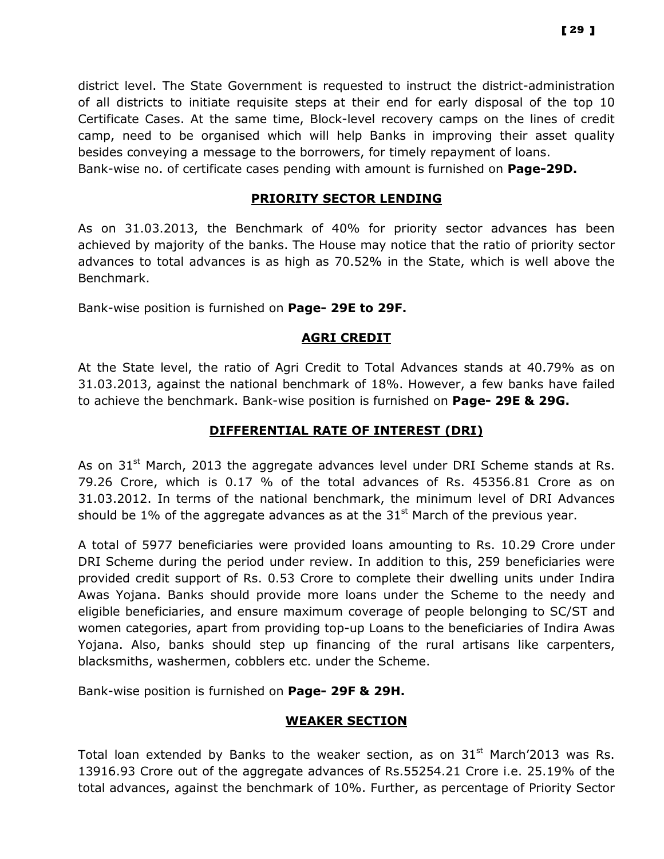district level. The State Government is requested to instruct the district-administration of all districts to initiate requisite steps at their end for early disposal of the top 10 Certificate Cases. At the same time, Block-level recovery camps on the lines of credit camp, need to be organised which will help Banks in improving their asset quality besides conveying a message to the borrowers, for timely repayment of loans. Bank-wise no. of certificate cases pending with amount is furnished on Page-29D.

#### PRIORITY SECTOR LENDING

As on 31.03.2013, the Benchmark of 40% for priority sector advances has been achieved by majority of the banks. The House may notice that the ratio of priority sector advances to total advances is as high as 70.52% in the State, which is well above the Benchmark.

Bank-wise position is furnished on Page- 29E to 29F.

#### AGRI CREDIT

At the State level, the ratio of Agri Credit to Total Advances stands at 40.79% as on 31.03.2013, against the national benchmark of 18%. However, a few banks have failed to achieve the benchmark. Bank-wise position is furnished on Page- 29E & 29G.

#### DIFFERENTIAL RATE OF INTEREST (DRI)

As on  $31<sup>st</sup>$  March, 2013 the aggregate advances level under DRI Scheme stands at Rs. 79.26 Crore, which is 0.17 % of the total advances of Rs. 45356.81 Crore as on 31.03.2012. In terms of the national benchmark, the minimum level of DRI Advances should be 1% of the aggregate advances as at the  $31<sup>st</sup>$  March of the previous year.

A total of 5977 beneficiaries were provided loans amounting to Rs. 10.29 Crore under DRI Scheme during the period under review. In addition to this, 259 beneficiaries were provided credit support of Rs. 0.53 Crore to complete their dwelling units under Indira Awas Yojana. Banks should provide more loans under the Scheme to the needy and eligible beneficiaries, and ensure maximum coverage of people belonging to SC/ST and women categories, apart from providing top-up Loans to the beneficiaries of Indira Awas Yojana. Also, banks should step up financing of the rural artisans like carpenters, blacksmiths, washermen, cobblers etc. under the Scheme.

Bank-wise position is furnished on Page- 29F & 29H.

#### WEAKER SECTION

Total loan extended by Banks to the weaker section, as on  $31<sup>st</sup>$  March'2013 was Rs. 13916.93 Crore out of the aggregate advances of Rs.55254.21 Crore i.e. 25.19% of the total advances, against the benchmark of 10%. Further, as percentage of Priority Sector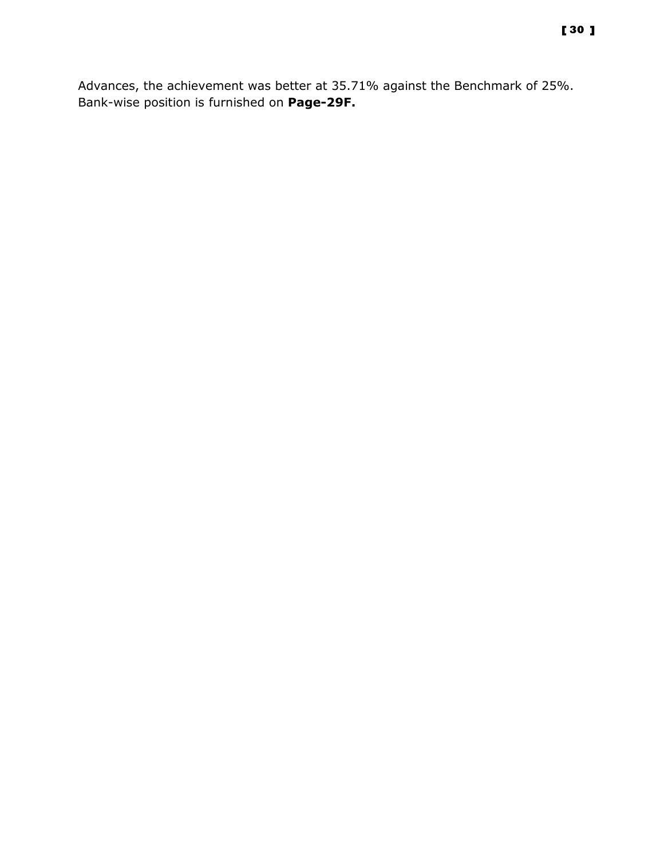Advances, the achievement was better at 35.71% against the Benchmark of 25%. Bank-wise position is furnished on Page-29F.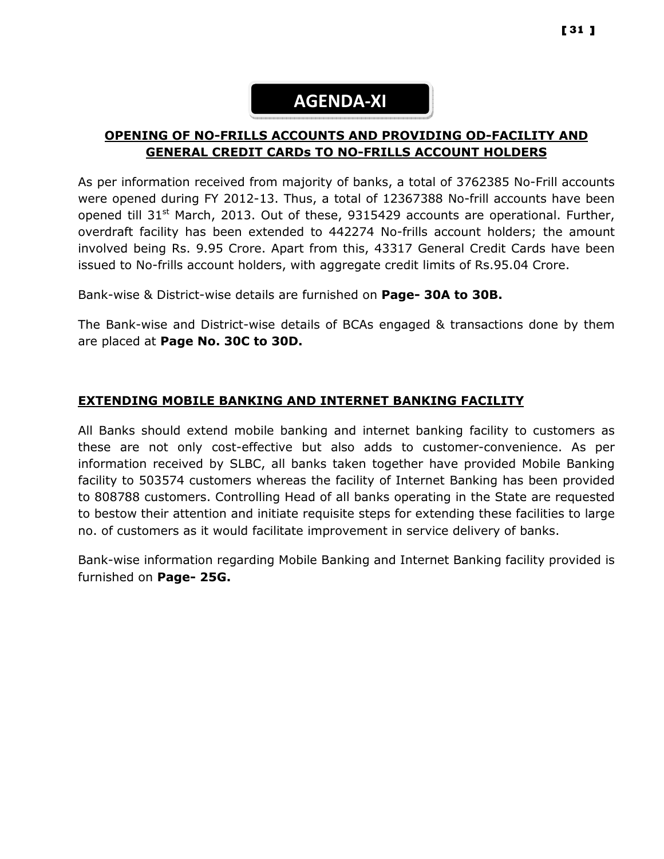# AGENDA-XI

## OPENING OF NO-FRILLS ACCOUNTS AND PROVIDING OD-FACILITY AND GENERAL CREDIT CARDs TO NO-FRILLS ACCOUNT HOLDERS

As per information received from majority of banks, a total of 3762385 No-Frill accounts were opened during FY 2012-13. Thus, a total of 12367388 No-frill accounts have been opened till  $31^{st}$  March, 2013. Out of these, 9315429 accounts are operational. Further, overdraft facility has been extended to 442274 No-frills account holders; the amount involved being Rs. 9.95 Crore. Apart from this, 43317 General Credit Cards have been issued to No-frills account holders, with aggregate credit limits of Rs.95.04 Crore.

Bank-wise & District-wise details are furnished on Page- 30A to 30B.

The Bank-wise and District-wise details of BCAs engaged & transactions done by them are placed at Page No. 30C to 30D.

## EXTENDING MOBILE BANKING AND INTERNET BANKING FACILITY

All Banks should extend mobile banking and internet banking facility to customers as these are not only cost-effective but also adds to customer-convenience. As per information received by SLBC, all banks taken together have provided Mobile Banking facility to 503574 customers whereas the facility of Internet Banking has been provided to 808788 customers. Controlling Head of all banks operating in the State are requested to bestow their attention and initiate requisite steps for extending these facilities to large no. of customers as it would facilitate improvement in service delivery of banks.

Bank-wise information regarding Mobile Banking and Internet Banking facility provided is furnished on Page- 25G.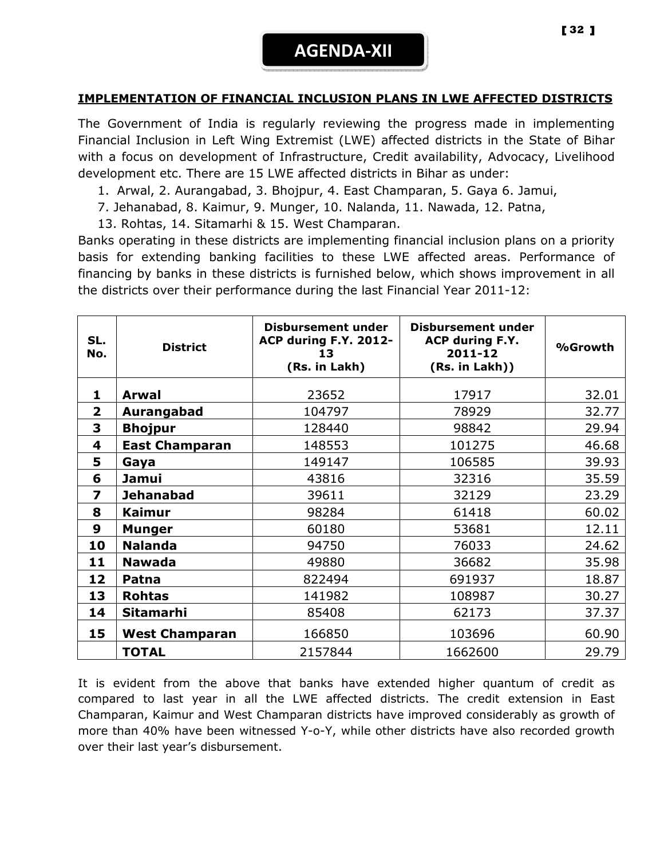#### IMPLEMENTATION OF FINANCIAL INCLUSION PLANS IN LWE AFFECTED DISTRICTS

The Government of India is regularly reviewing the progress made in implementing Financial Inclusion in Left Wing Extremist (LWE) affected districts in the State of Bihar with a focus on development of Infrastructure, Credit availability, Advocacy, Livelihood development etc. There are 15 LWE affected districts in Bihar as under:

- 1. Arwal, 2. Aurangabad, 3. Bhojpur, 4. East Champaran, 5. Gaya 6. Jamui,
- 7. Jehanabad, 8. Kaimur, 9. Munger, 10. Nalanda, 11. Nawada, 12. Patna,
- 13. Rohtas, 14. Sitamarhi & 15. West Champaran.

Banks operating in these districts are implementing financial inclusion plans on a priority basis for extending banking facilities to these LWE affected areas. Performance of financing by banks in these districts is furnished below, which shows improvement in all the districts over their performance during the last Financial Year 2011-12:

| SL.<br><b>District</b><br>No. |                       | <b>Disbursement under</b><br><b>ACP during F.Y. 2012-</b><br>13<br>(Rs. in Lakh) | Disbursement under<br><b>ACP during F.Y.</b><br>2011-12<br>(Rs. in Lakh)) | %Growth |
|-------------------------------|-----------------------|----------------------------------------------------------------------------------|---------------------------------------------------------------------------|---------|
| 1                             | <b>Arwal</b>          | 23652                                                                            | 17917                                                                     | 32.01   |
| $\overline{2}$                | Aurangabad            | 104797                                                                           | 78929                                                                     | 32.77   |
| 3                             | <b>Bhojpur</b>        | 128440                                                                           | 98842                                                                     | 29.94   |
| 4                             | <b>East Champaran</b> | 148553                                                                           | 101275                                                                    | 46.68   |
| 5                             | Gaya                  | 149147                                                                           | 106585                                                                    | 39.93   |
| 6                             | Jamui                 | 43816                                                                            | 32316                                                                     | 35.59   |
| 7                             | <b>Jehanabad</b>      | 39611                                                                            | 32129                                                                     | 23.29   |
| 8                             | <b>Kaimur</b>         | 98284                                                                            | 61418                                                                     | 60.02   |
| $\boldsymbol{9}$              | <b>Munger</b>         | 60180                                                                            | 53681                                                                     | 12.11   |
| 10                            | <b>Nalanda</b>        | 94750                                                                            | 76033                                                                     | 24.62   |
| 11                            | <b>Nawada</b>         | 49880                                                                            | 36682                                                                     | 35.98   |
| 12                            | Patna                 | 822494                                                                           | 691937                                                                    | 18.87   |
| 13                            | <b>Rohtas</b>         | 141982                                                                           | 108987                                                                    | 30.27   |
| 14                            | Sitamarhi             | 85408                                                                            | 62173                                                                     | 37.37   |
| 15                            | <b>West Champaran</b> | 166850                                                                           | 103696                                                                    | 60.90   |
|                               | <b>TOTAL</b>          | 2157844                                                                          | 1662600                                                                   | 29.79   |

It is evident from the above that banks have extended higher quantum of credit as compared to last year in all the LWE affected districts. The credit extension in East Champaran, Kaimur and West Champaran districts have improved considerably as growth of more than 40% have been witnessed Y-o-Y, while other districts have also recorded growth over their last year's disbursement.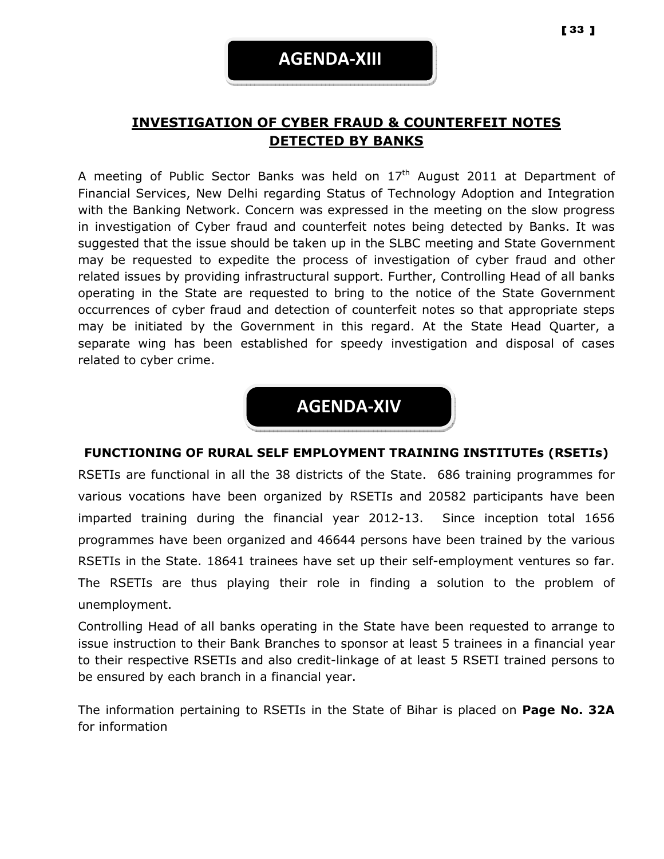## INVESTIGATION OF CYBER FRAUD & COUNTERFEIT NOTES DETECTED BY BANKS

A meeting of Public Sector Banks was held on  $17<sup>th</sup>$  August 2011 at Department of Financial Services, New Delhi regarding Status of Technology Adoption and Integration with the Banking Network. Concern was expressed in the meeting on the slow progress in investigation of Cyber fraud and counterfeit notes being detected by Banks. It was suggested that the issue should be taken up in the SLBC meeting and State Government may be requested to expedite the process of investigation of cyber fraud and other related issues by providing infrastructural support. Further, Controlling Head of all banks operating in the State are requested to bring to the notice of the State Government occurrences of cyber fraud and detection of counterfeit notes so that appropriate steps may be initiated by the Government in this regard. At the State Head Quarter, a separate wing has been established for speedy investigation and disposal of cases related to cyber crime.

## AGENDA-XIV

#### FUNCTIONING OF RURAL SELF EMPLOYMENT TRAINING INSTITUTEs (RSETIs)

RSETIs are functional in all the 38 districts of the State. 686 training programmes for various vocations have been organized by RSETIs and 20582 participants have been imparted training during the financial year 2012-13. Since inception total 1656 programmes have been organized and 46644 persons have been trained by the various RSETIs in the State. 18641 trainees have set up their self-employment ventures so far. The RSETIs are thus playing their role in finding a solution to the problem of unemployment.

Controlling Head of all banks operating in the State have been requested to arrange to issue instruction to their Bank Branches to sponsor at least 5 trainees in a financial year to their respective RSETIs and also credit-linkage of at least 5 RSETI trained persons to be ensured by each branch in a financial year.

The information pertaining to RSETIs in the State of Bihar is placed on Page No. 32A for information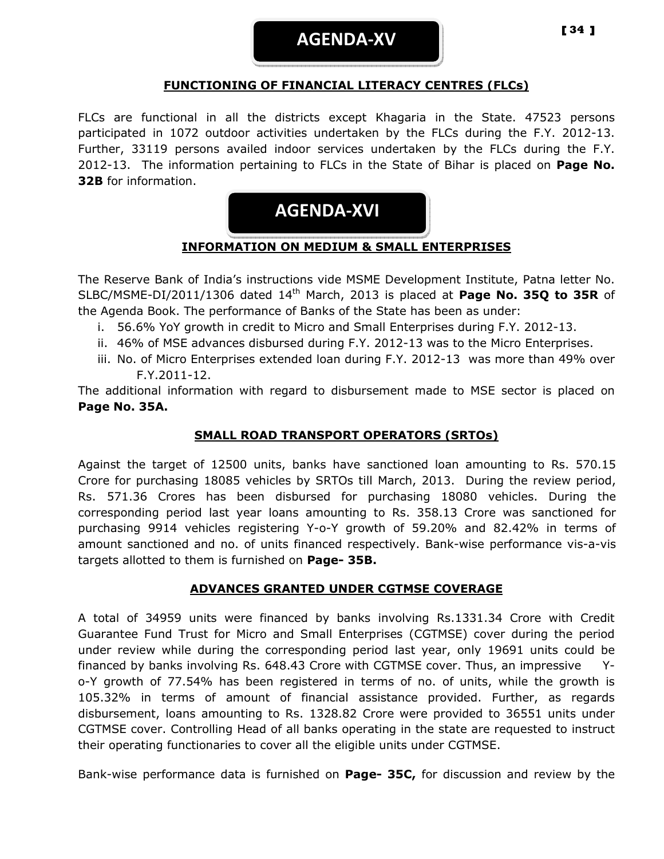AGENDA-XV

#### FUNCTIONING OF FINANCIAL LITERACY CENTRES (FLCs)

FLCs are functional in all the districts except Khagaria in the State. 47523 persons participated in 1072 outdoor activities undertaken by the FLCs during the F.Y. 2012-13. Further, 33119 persons availed indoor services undertaken by the FLCs during the F.Y. 2012-13. The information pertaining to FLCs in the State of Bihar is placed on **Page No.** 32B for information.



## INFORMATION ON MEDIUM & SMALL ENTERPRISES

The Reserve Bank of India's instructions vide MSME Development Institute, Patna letter No. SLBC/MSME-DI/2011/1306 dated 14<sup>th</sup> March, 2013 is placed at Page No. 35Q to 35R of the Agenda Book. The performance of Banks of the State has been as under:

- i. 56.6% YoY growth in credit to Micro and Small Enterprises during F.Y. 2012-13.
- ii. 46% of MSE advances disbursed during F.Y. 2012-13 was to the Micro Enterprises.
- iii. No. of Micro Enterprises extended loan during F.Y. 2012-13 was more than 49% over F.Y.2011-12.

The additional information with regard to disbursement made to MSE sector is placed on Page No. 35A.

#### SMALL ROAD TRANSPORT OPERATORS (SRTOs)

Against the target of 12500 units, banks have sanctioned loan amounting to Rs. 570.15 Crore for purchasing 18085 vehicles by SRTOs till March, 2013. During the review period, Rs. 571.36 Crores has been disbursed for purchasing 18080 vehicles. During the corresponding period last year loans amounting to Rs. 358.13 Crore was sanctioned for purchasing 9914 vehicles registering Y-o-Y growth of 59.20% and 82.42% in terms of amount sanctioned and no. of units financed respectively. Bank-wise performance vis-a-vis targets allotted to them is furnished on Page- 35B.

#### ADVANCES GRANTED UNDER CGTMSE COVERAGE

A total of 34959 units were financed by banks involving Rs.1331.34 Crore with Credit Guarantee Fund Trust for Micro and Small Enterprises (CGTMSE) cover during the period under review while during the corresponding period last year, only 19691 units could be financed by banks involving Rs. 648.43 Crore with CGTMSE cover. Thus, an impressive Yo-Y growth of 77.54% has been registered in terms of no. of units, while the growth is 105.32% in terms of amount of financial assistance provided. Further, as regards disbursement, loans amounting to Rs. 1328.82 Crore were provided to 36551 units under CGTMSE cover. Controlling Head of all banks operating in the state are requested to instruct their operating functionaries to cover all the eligible units under CGTMSE.

Bank-wise performance data is furnished on **Page- 35C,** for discussion and review by the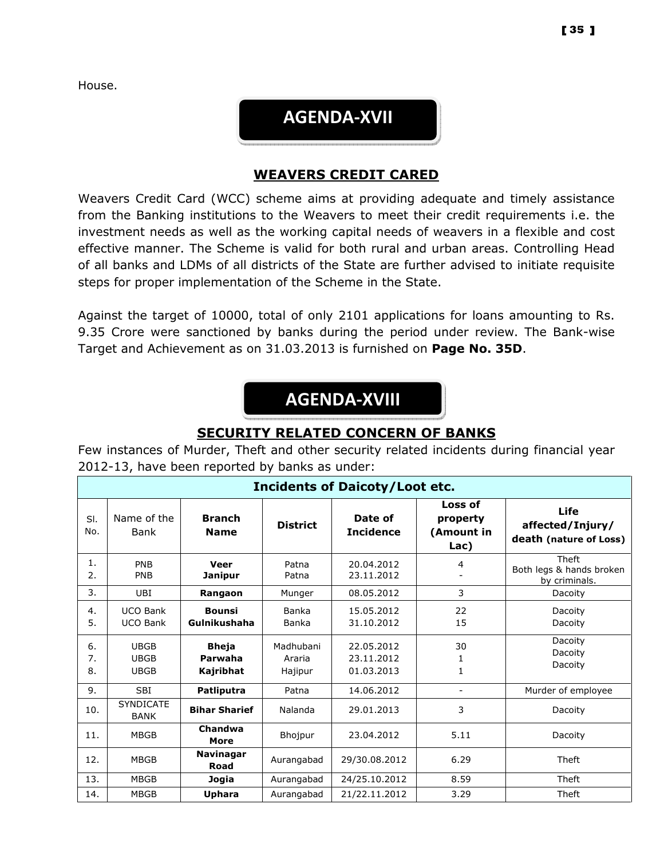House.

## AGENDA-XVII

#### WEAVERS CREDIT CARED

Weavers Credit Card (WCC) scheme aims at providing adequate and timely assistance from the Banking institutions to the Weavers to meet their credit requirements i.e. the investment needs as well as the working capital needs of weavers in a flexible and cost effective manner. The Scheme is valid for both rural and urban areas. Controlling Head of all banks and LDMs of all districts of the State are further advised to initiate requisite steps for proper implementation of the Scheme in the State.

Against the target of 10000, total of only 2101 applications for loans amounting to Rs. 9.35 Crore were sanctioned by banks during the period under review. The Bank-wise Target and Achievement as on 31.03.2013 is furnished on Page No. 35D.

# AGENDA-XVIII

### SECURITY RELATED CONCERN OF BANKS

Few instances of Murder, Theft and other security related incidents during financial year 2012-13, have been reported by banks as under:

| <b>Incidents of Daicoty/Loot etc.</b> |                                           |                                      |                                |                                        |                                           |                                                           |
|---------------------------------------|-------------------------------------------|--------------------------------------|--------------------------------|----------------------------------------|-------------------------------------------|-----------------------------------------------------------|
| SI.<br>No.                            | Name of the<br>Bank                       | <b>Branch</b><br><b>Name</b>         | <b>District</b>                | Date of<br><b>Incidence</b>            | Loss of<br>property<br>(Amount in<br>Lac) | Life<br>affected/Injury/<br>death (nature of Loss)        |
| 1.<br>2.                              | PNB<br><b>PNB</b>                         | Veer<br><b>Janipur</b>               | Patna<br>Patna                 | 20.04.2012<br>23.11.2012               | 4                                         | <b>Theft</b><br>Both legs & hands broken<br>by criminals. |
| 3.                                    | UBI                                       | Rangaon                              | Munger                         | 08.05.2012                             | 3                                         | Dacoity                                                   |
| 4.<br>5.                              | <b>UCO Bank</b><br><b>UCO Bank</b>        | <b>Bounsi</b><br>Gulnikushaha        | Banka<br>Banka                 | 15.05.2012<br>31.10.2012               | 22<br>15                                  | Dacoity<br>Dacoity                                        |
| 6.<br>7.<br>8.                        | <b>UBGB</b><br><b>UBGB</b><br><b>UBGB</b> | <b>Bheja</b><br>Parwaha<br>Kajribhat | Madhubani<br>Araria<br>Hajipur | 22.05.2012<br>23.11.2012<br>01.03.2013 | 30<br>1<br>1                              | Dacoity<br>Dacoity<br>Dacoity                             |
| 9.                                    | <b>SBI</b>                                | <b>Patliputra</b>                    | Patna                          | 14.06.2012                             | $\overline{\phantom{a}}$                  | Murder of employee                                        |
| 10.                                   | <b>SYNDICATE</b><br><b>BANK</b>           | <b>Bihar Sharief</b>                 | Nalanda                        | 29.01.2013                             | 3                                         | Dacoity                                                   |
| 11.                                   | <b>MBGB</b>                               | Chandwa<br>More                      | Bhojpur                        | 23.04.2012                             | 5.11                                      | Dacoity                                                   |
| 12.                                   | <b>MBGB</b>                               | <b>Navinagar</b><br>Road             | Aurangabad                     | 29/30.08.2012                          | 6.29                                      | Theft                                                     |
| 13.                                   | <b>MBGB</b>                               | Jogia                                | Aurangabad                     | 24/25.10.2012                          | 8.59                                      | Theft                                                     |
| 14.                                   | <b>MBGB</b>                               | Uphara                               | Aurangabad                     | 21/22.11.2012                          | 3.29                                      | Theft                                                     |